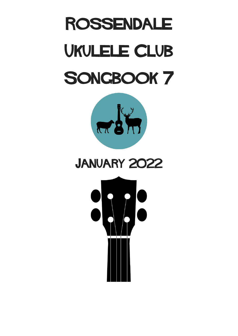# Rossendale Ukulele Club SONGBOOK 7



January 2022

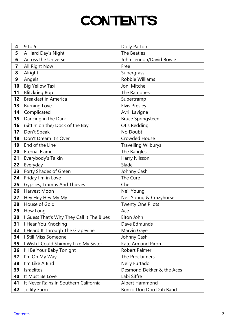# **CONTENTS**

<span id="page-1-0"></span>

| 4                       | $9$ to 5                                  | <b>Dolly Parton</b>        |
|-------------------------|-------------------------------------------|----------------------------|
| 5                       | A Hard Day's Night                        | The Beatles                |
| 6                       | <b>Across the Universe</b>                | John Lennon/David Bowie    |
| $\overline{\mathbf{z}}$ | All Right Now                             | Free                       |
| 8                       | Alright                                   | Supergrass                 |
| 9                       | Angels                                    | Robbie Williams            |
| 10                      | <b>Big Yellow Taxi</b>                    | Joni Mitchell              |
| 11                      | <b>Blitzkrieg Bop</b>                     | The Ramones                |
| 12                      | <b>Breakfast in America</b>               | Supertramp                 |
| 13                      | <b>Burning Love</b>                       | <b>Elvis Presley</b>       |
| 14                      | Complicated                               | Avril Lavigne              |
| 15                      | Dancing in the Dark                       | <b>Bruce Springsteen</b>   |
| 16                      | (Sittin' on the) Dock of the Bay          | <b>Otis Redding</b>        |
| 17                      | Don't Speak                               | No Doubt                   |
| 18                      | Don't Dream It's Over                     | <b>Crowded House</b>       |
| 19                      | End of the Line                           | <b>Travelling Wilburys</b> |
| 20                      | <b>Eternal Flame</b>                      | The Bangles                |
| 21                      | Everybody's Talkin                        | Harry Nilsson              |
| 22                      | Everyday                                  | Slade                      |
| 23                      | Forty Shades of Green                     | Johnny Cash                |
| 24                      | Friday I'm in Love                        | The Cure                   |
| 25                      | <b>Gypsies, Tramps And Thieves</b>        | Cher                       |
| 26                      | Harvest Moon                              | Neil Young                 |
| 27                      | Hey Hey Hey My My                         | Neil Young & Crazyhorse    |
| 28                      | House of Gold                             | <b>Twenty One Pilots</b>   |
| 29                      | How Long                                  | Ace                        |
| 30                      | I Guess That's Why They Call It The Blues | Elton John                 |
| 31                      | I Hear You Knocking                       | Dave Edmunds               |
| 32                      | I Heard It Through The Grapevine          | Marvin Gaye                |
| 34                      | I Still Miss Someone                      | Johnny Cash                |
| 35                      | I Wish I Could Shimmy Like My Sister      | Kate Armand Piron          |
| 36                      | I'll Be Your Baby Tonight                 | Robert Palmer              |
| 37                      | I'm On My Way                             | The Proclaimers            |
| 38                      | I'm Like A Bird                           | Nelly Furtado              |
| 39                      | Israelites                                | Desmond Dekker & the Aces  |
| 40                      | It Must Be Love                           | Labi Siffre                |
| 41                      | It Never Rains In Southern California     | Albert Hammond             |
| 42                      | Jollity Farm                              | Bonzo Dog Doo Dah Band     |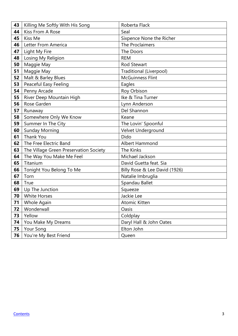| 43 | Killing Me Softly With His Song        | Roberta Flack                 |
|----|----------------------------------------|-------------------------------|
| 44 | <b>Kiss From A Rose</b>                | Seal                          |
| 45 | Kiss Me                                | Sixpence None the Richer      |
| 46 | Letter From America                    | The Proclaimers               |
| 47 | Light My Fire                          | The Doors                     |
| 48 | Losing My Religion                     | <b>REM</b>                    |
| 50 | Maggie May                             | <b>Rod Stewart</b>            |
| 51 | Maggie May                             | Traditional (Liverpool)       |
| 52 | Malt & Barley Blues                    | <b>McGuinness Flint</b>       |
| 53 | Peaceful Easy Feeling                  | Eagles                        |
| 54 | Penny Arcade                           | Roy Orbison                   |
| 55 | River Deep Mountain High               | Ike & Tina Turner             |
| 56 | Rose Garden                            | Lynn Anderson                 |
| 57 | Runaway                                | Del Shannon                   |
| 58 | Somewhere Only We Know                 | Keane                         |
| 59 | Summer In The City                     | The Lovin' Spoonful           |
| 60 | <b>Sunday Morning</b>                  | Velvet Underground            |
| 61 | <b>Thank You</b>                       | Dido                          |
| 62 | The Free Electric Band                 | <b>Albert Hammond</b>         |
| 63 | The Village Green Preservation Society | The Kinks                     |
| 64 | The Way You Make Me Feel               | Michael Jackson               |
| 65 | Titanium                               | David Guetta feat. Sia        |
| 66 | Tonight You Belong To Me               | Billy Rose & Lee David (1926) |
| 67 | Torn                                   | Natalie Imbruglia             |
| 68 | <b>True</b>                            | Spandau Ballet                |
| 69 | Up The Junction                        | Squeeze                       |
| 70 | <b>White Horses</b>                    | Jackie Lee                    |
| 71 | Whole Again                            | Atomic Kitten                 |
| 72 | Wonderwall                             | Oasis                         |
| 73 | Yellow                                 | Coldplay                      |
| 74 | You Make My Dreams                     | Daryl Hall & John Oates       |
| 75 | Your Song                              | Elton John                    |
| 76 | You're My Best Friend                  | Queen                         |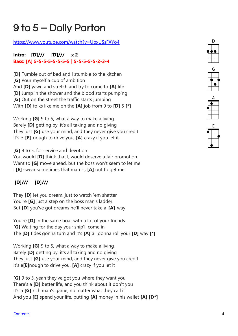### <span id="page-3-0"></span>9 to 5 – Dolly Parton

<https://www.youtube.com/watch?v=UbxUSsFXYo4>

#### **Intro: [D]/// [D]/// x 2 Bass: [A] 5-5-5-5-5-5-5-5 | 5-5-5-5-5-2-3-4**

**[D]** Tumble out of bed and I stumble to the kitchen **[G]** Pour myself a cup of ambition And **[D]** yawn and stretch and try to come to **[A]** life **[D]** Jump in the shower and the blood starts pumping **[G]** Out on the street the traffic starts jumping With **[D]** folks like me on the **[A]** job from 9 to **[D]** 5 **[\*]**

Working **[G]** 9 to 5, what a way to make a living Barely **[D]** getting by, it's all taking and no giving They just **[G]** use your mind, and they never give you credit It's e-**[E]**-nough to drive you, **[A]** crazy if you let it

**[G]** 9 to 5, for service and devotion

You would **[D]** think that I, would deserve a fair promotion Want to **[G]** move ahead, but the boss won't seem to let me I **[E]** swear sometimes that man is**, [A]** out to get me

### **[D]/// [D]///**

They **[D]** let you dream, just to watch 'em shatter You're **[G]** just a step on the boss man's ladder But **[D]** you've got dreams he'll never take a-**[A]**-way

You're **[D]** in the same boat with a lot of your friends **[G]** Waiting for the day your ship'll come in The **[D]** tides gonna turn and it's **[A]** all gonna roll your **[D]** way **[\*]**

Working **[G]** 9 to 5, what a way to make a living Barely **[D]** getting by, it's all taking and no giving They just **[G]** use your mind, and they never give you credit It's e**[E]**nough to drive you, **[A]** crazy if you let it

**[G]** 9 to 5, yeah they've got you where they want you There's a **[D]** better life, and you think about it don't you It's a **[G]** rich man's game, no matter what they call it And you **[E]** spend your life, putting **[A]** money in his wallet **[A] [D\*]**

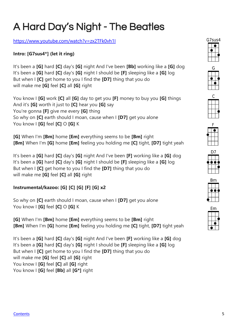# <span id="page-4-0"></span>A Hard Day's Night - The Beatles

<https://www.youtube.com/watch?v=zx2TFk0vh1I>

### **Intro: [G7sus4\*] (let it ring)**

It's been a **[G]** hard **[C]** day's **[G]** night And I've been **[Bb]** working like a **[G]** dog It's been a **[G]** hard **[C]** day's **[G]** night I should be **[F]** sleeping like a **[G]** log But when I **[C]** get home to you I find the **[D7]** thing that you do will make me **[G]** feel **[C]** all **[G]** right

You know I **[G]** work **[C]** all **[G]** day to get you **[F]** money to buy you **[G]** things And it's **[G]** worth it just to **[C]** hear you **[G]** say You're gonna **[F]** give me every **[G]** thing So why on **[C]** earth should I moan, cause when I **[D7]** get you alone You know I **[G]** feel **[C]** O **[G]** K

**[G]** When I'm **[Bm]** home **[Em]** everything seems to be **[Bm]** right **[Bm]** When I'm **[G]** home **[Em]** feeling you holding me **[C]** tight, **[D7]** tight yeah

It's been a **[G]** hard **[C]** day's **[G]** night And I've been **[F]** working like a **[G]** dog It's been a **[G]** hard **[C]** day's **[G]** night I should be **[F]** sleeping like a **[G]** log But when I **[C]** get home to you I find the **[D7]** thing that you do will make me **[G]** feel **[C]** all **[G]** right

### **Instrumental/kazoo: [G] [C] [G] [F] [G] x2**

So why on **[C]** earth should I moan, cause when I **[D7]** get you alone You know I **[G]** feel **[C]** O **[G]** K

**[G]** When I'm **[Bm]** home **[Em]** everything seems to be **[Bm]** right **[Bm]** When I'm **[G]** home **[Em]** feeling you holding me **[C]** tight, **[D7]** tight yeah

It's been a **[G]** hard **[C]** day's **[G]** night And I've been **[F]** working like a **[G]** dog It's been a **[G]** hard **[C]** day's **[G]** night I should be **[F]** sleeping like a **[G]** log But when I **[C]** get home to you I find the **[D7]** thing that you do will make me **[G]** feel **[C]** all **[G]** right You know I **[G]** feel **[C]** all **[G]** right You know I **[G]** feel **[Bb]** all **[G\*]** right













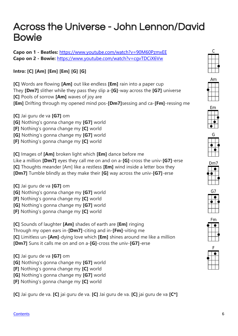### <span id="page-5-0"></span>Across the Universe - John Lennon/David **Bowie**

**Capo on 1 - Beatles:** <https://www.youtube.com/watch?v=90M60PzmxEE> **Capo on 2 - Bowie:** <https://www.youtube.com/watch?v=cgvTDCiX6Vw>

### **Intro: [C] [Am] [Em] [Em] [G] [G]**

**[C]** Words are flowing **[Am]** out like endless **[Em]** rain into a paper cup They **[Dm7]** slither while they pass they slip a-**[G]**-way across the **[G7]** universe **[C]** Pools of sorrow **[Am]** waves of joy are **[Em]** Drifting through my opened mind pos-**[Dm7]**sessing and ca-**[Fm]**-ressing me

**[C]** Jai guru de va **[G7]** om

**[G]** Nothing's gonna change my **[G7]** world

**[F]** Nothing's gonna change my **[C]** world

**[G]** Nothing's gonna change my **[G7]** world

**[F]** Nothing's gonna change my **[C]** world

**[C]** Images of **[Am]** broken light which **[Em]** dance before me Like a million **[Dm7]** eyes they call me on and on a-**[G]**-cross the univ-**[G7]**-erse **[C]** Thoughts meander [Am] like a restless **[Em]** wind inside a letter box they **[Dm7]** Tumble blindly as they make their **[G]** way across the univ-**[G7]**-erse

- **[C]** Jai guru de va **[G7]** om
- **[G]** Nothing's gonna change my **[G7]** world
- **[F]** Nothing's gonna change my **[C]** world
- **[G]** Nothing's gonna change my **[G7]** world
- **[F]** Nothing's gonna change my **[C]** world

**[C]** Sounds of laughter **[Am]** shades of earth are **[Em]** ringing Through my open ears in-**[Dm7]**-citing and in-**[Fm]**-viting me **[C]** Limitless un-**[Am]**-dying love which **[Em]** shines around me like a million **[Dm7]** Suns it calls me on and on a-**[G]**-cross the univ-**[G7]**-erse

- **[C]** Jai guru de va **[G7]** om
- **[G]** Nothing's gonna change my **[G7]** world
- **[F]** Nothing's gonna change my **[C]** world
- **[G]** Nothing's gonna change my **[G7]** world
- **[F]** Nothing's gonna change my **[C]** world

**[C]** Jai guru de va. **[C]** jai guru de va. **[C]** Jai guru de va. **[C]** jai guru de va **[C\*]**















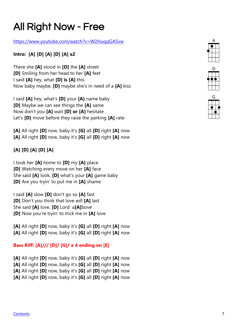### <span id="page-6-0"></span>All Right Now - Free

<https://www.youtube.com/watch?v=W2HuqqGASvw>

### **Intro: [A] [D] [A] [D] [A] x2**

There she **[A]** stood in **[D]** the **[A]** street **[D]** Smiling from her head to her **[A]** feet I said **[A]** hey, what **[D] is [A]** this Now baby maybe, **[D]** maybe she's in need of a **[A]** kiss

I said **[A]** hey, what's **[D]** your **[A]** name baby **[D]** Maybe we can see things the **[A]** same Now don't you **[A]** wait **[D] or [A]** hesitate Let's **[D]** move before they raise the parking **[A]** rate

**[A]** All right **[D]** now, baby it's **[G]** all **[D]** right **[A]** now **[A]** All right **[D]** now, baby it's **[G]** all **[D]** right **[A]** now

### **[A] [D] [A] [D] [A]**

I took her **[A]** home to **[D]** my **[A]** place **[D]** Watching every move on her **[A]** face She said **[A]** look, **[D]** what's your **[A]** game baby **[D]** Are you tryin' to put me in **[A]** shame

I said **[A]** slow **[D]** don't go so **[A]** fast **[D]** Don't you think that love will **[A]** last She said **[A]** love, **[D]** Lord a**[A]**bove **[D]** Now you're tryin' to trick me in **[A]** love

**[A]** All right **[D]** now, baby it's **[G]** all **[D]** right **[A]** now **[A]** All right **[D]** now, baby it's **[G]** all **[D]** right **[A]** now

#### **Bass Riff: [A]/// [D]/ [G]/ x 4 ending on [E]**

**[A]** All right **[D]** now, baby it's **[G]** all **[D]** right **[A]** now **[A]** All right **[D]** now, baby it's **[G]** all **[D]** right **[A]** now **[A]** All right **[D]** now, baby it's **[G]** all **[D]** right **[A]** now **[A]** All right **[D]** now, baby it's **[G]** all **[D]** right **[A]** now

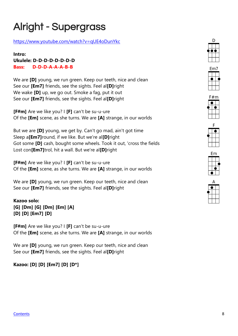### <span id="page-7-0"></span>Alright - Supergrass

<https://www.youtube.com/watch?v=qUE4oDunYkc>

**Intro: Ukulele: D-D-D-D-D-D-D-D Bass: D-D-D-A-A-A-B-B**

We are **[D]** young, we run green. Keep our teeth, nice and clean See our **[Em7]** friends, see the sights. Feel al**[D]**right We wake **[D]** up, we go out. Smoke a fag, put it out See our **[Em7]** friends, see the sights. Feel al**[D]**right

**[F#m]** Are we like you? I **[F]** can't be su-u-ure Of the **[Em]** scene, as she turns. We are **[A]** strange, in our worlds

But we are **[D]** young, we get by. Can't go mad, ain't got time Sleep a**[Em7]**round, if we like. But we're al**[D]**right Got some **[D]** cash, bought some wheels. Took it out, 'cross the fields Lost con**[Em7]**trol, hit a wall. But we're al**[D]**right

**[F#m]** Are we like you? I **[F]** can't be su-u-ure Of the **[Em]** scene, as she turns. We are **[A]** strange, in our worlds

We are **[D]** young, we run green. Keep our teeth, nice and clean See our **[Em7]** friends, see the sights. Feel al**[D]**right

**Kazoo solo: [G] [Dm] [G] [Dm] [Em] [A] [D] [D] [Em7] [D]**

**[F#m]** Are we like you? I **[F]** can't be su-u-ure Of the **[Em]** scene, as she turns. We are **[A]** strange, in our worlds

We are **[D]** young, we run green. Keep our teeth, nice and clean See our **[Em7]** friends, see the sights. Feel al**[D]**right

### **Kazoo: [D] [D] [Em7] [D] [D\*]**









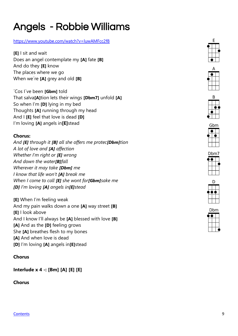## <span id="page-8-0"></span>Angels - Robbie Williams

#### <https://www.youtube.com/watch?v=luwAMFcc2f8>

**[E]** I sit and wait Does an angel contemplate my **[A]** fate **[B]** And do they **[E]** know The places where we go When we´re **[A]** grey and old **[B]**

´Cos I´ve been **[Gbm]** told That salva**[A]**tion lets their wings **[Dbm7]** unfold **[A]** So when I'm **[D]** lying in my bed Thoughts **[A]** running through my head And I **[E]** feel that love is dead **[D]** I'm loving **[A]** angels in**[E]**stead

#### **Chorus:**

*And [E] through it [B] all she offers me protec[Dbm]tion A lot of love and [A] affection Whether I'm right or [E] wrong And down the water[B]fall Wherever it may take [Dbm] me I know that life won't [A] break me When I come to call [E] she wont for[Gbm]sake me [D] I'm loving [A] angels in[E]stead* 

**[E]** When I'm feeling weak And my pain walks down a one **[A]** way street **[B] [E]** I look above And I know I'll always be **[A]** blessed with love **[B] [A]** And as the **[D]** feeling grows She **[A]** breathes flesh to my bones **[A]** And when love is dead **[D]** I'm loving **[A]** angels in**[E]**stead

#### **Chorus**

**Interlude x 4 -: [Bm] [A] [E] [E]**

#### **Chorus**





E







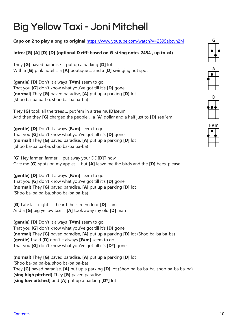## <span id="page-9-0"></span>Big Yellow Taxi - Joni Mitchell

#### **Capo on 2 to play along to original** <https://www.youtube.com/watch?v=2595abcvh2M>

#### **Intro: [G] [A] [D] [D] (optional D riff: based on G-string notes 2454 , up to x4)**

They **[G]** paved paradise ... put up a parking **[D]** lot With a **[G]** pink hotel ... a **[A]** boutique ... and a **[D]** swinging hot spot

**(gentle) [D]** Don't it always **[F#m]** seem to go That you **[G]** don't know what you've got till it's **[D]** gone **(normal)** They **[G]** paved paradise, **[A]** put up a parking **[D]** lot (Shoo ba-ba ba-ba, shoo ba-ba ba-ba)

They **[G]** took all the trees ... put 'em in a tree mu**[D]**seum And then they **[G]** charged the people ... a **[A]** dollar and a half just to **[D]** see 'em

**(gentle) [D]** Don't it always **[F#m]** seem to go That you **[G]** don't know what you've got till it's **[D]** gone **(normal)** They **[G]** paved paradise, **[A]** put up a parking **[D]** lot (Shoo ba-ba ba-ba, shoo ba-ba ba-ba)

**[G]** Hey farmer, farmer ... put away your DD**[D]**T now Give me **[G]** spots on my apples ... but **[A]** leave me the birds and the **[D]** bees, please

**(gentle) [D]** Don't it always **[F#m]** seem to go That you **[G]** don't know what you've got till it's **[D]** gone **(normal)** They **[G]** paved paradise, **[A]** put up a parking **[D]** lot (Shoo ba-ba ba-ba, shoo ba-ba ba-ba)

**[G]** Late last night ... I heard the screen door **[D]** slam And a **[G]** big yellow taxi ... **[A]** took away my old **[D]** man

**(gentle) [D]** Don't it always **[F#m]** seem to go That you **[G]** don't know what you've got till it's **[D]** gone **(normal)** They **[G]** paved paradise, **[A]** put up a parking **[D]** lot (Shoo ba-ba ba-ba) **(gentle)** I said **[D]** don't it always **[F#m]** seem to go That you **[G]** don't know what you've got till it's **[D\*]** gone

**(normal)** They **[G]** paved paradise, **[A]** put up a parking **[D]** lot (Shoo ba-ba ba-ba, shoo ba-ba ba-ba) They **[G]** paved paradise, **[A]** put up a parking **[D]** lot (Shoo ba-ba ba-ba, shoo ba-ba ba-ba) **[sing high pitched]** They **[G]** paved paradise **[sing low pitched]** and **[A]** put up a parking **[D\*]** lot







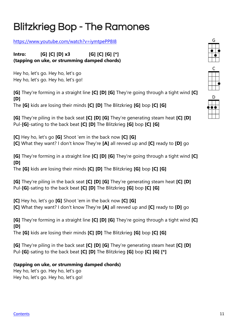### <span id="page-10-0"></span>Blitzkrieg Bop - The Ramones

<https://www.youtube.com/watch?v=iymtpePP8I8>

#### **Intro: [G] [C] [D] x3 [G] [C] [G] [\*] (tapping on uke, or strumming damped chords)**

Hey ho, let's go. Hey ho, let's go Hey ho, let's go. Hey ho, let's go!

**[G]** They're forming in a straight line **[C] [D] [G]** They're going through a tight wind **[C] [D]**

The **[G]** kids are losing their minds **[C] [D]** The Blitzkrieg **[G]** bop **[C] [G]**

**[G]** They're piling in the back seat **[C] [D] [G]** They're generating steam heat **[C] [D]** Pul-**[G]**-sating to the back beat **[C] [D]** The Blitzkrieg **[G]** bop **[C] [G]**

**[C]** Hey ho, let's go **[G]** Shoot 'em in the back now **[C] [G]**

**[C]** What they want? I don't know They're **[A]** all revved up and **[C]** ready to **[D]** go

**[G]** They're forming in a straight line **[C] [D] [G]** They're going through a tight wind **[C] [D]**

The **[G]** kids are losing their minds **[C] [D]** The Blitzkrieg **[G]** bop **[C] [G]**

**[G]** They're piling in the back seat **[C] [D] [G]** They're generating steam heat **[C] [D]** Pul-**[G]**-sating to the back beat **[C] [D]** The Blitzkrieg **[G]** bop **[C] [G]**

**[C]** Hey ho, let's go **[G]** Shoot 'em in the back now **[C] [G]**

**[C]** What they want? I don't know They're **[A]** all revved up and **[C]** ready to **[D]** go

**[G]** They're forming in a straight line **[C] [D] [G]** They're going through a tight wind **[C] [D]**

The **[G]** kids are losing their minds **[C] [D]** The Blitzkrieg **[G]** bop **[C] [G]**

**[G]** They're piling in the back seat **[C] [D] [G]** They're generating steam heat **[C] [D]** Pul-**[G]**-sating to the back beat **[C] [D]** The Blitzkrieg **[G]** bop **[C] [G] [\*]**

#### **(tapping on uke, or strumming damped chords)**

Hey ho, let's go. Hey ho, let's go Hey ho, let's go. Hey ho, let's go!

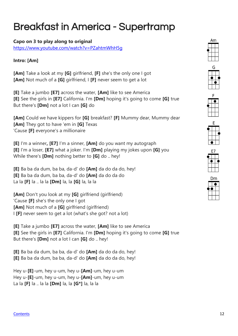### <span id="page-11-0"></span>Breakfast in America - Supertramp

**Capo on 3 to play along to original**  <https://www.youtube.com/watch?v=PZahtmWhH5g>

**Intro: [Am]**

**[Am]** Take a look at my **[G]** girlfriend, **[F]** she's the only one I got **[Am]** Not much of a **[G]** girlfriend, I **[F]** never seem to get a lot

**[E]** Take a jumbo **[E7]** across the water, **[Am]** like to see America **[E]** See the girls in **[E7]** California. I'm **[Dm]** hoping it's going to come **[G]** true But there's **[Dm]** not a lot I can **[G]** do

**[Am]** Could we have kippers for **[G]** breakfast? **[F]** Mummy dear, Mummy dear **[Am]** They got to have 'em in **[G]** Texas 'Cause **[F]** everyone's a millionaire

**[E]** I'm a winner**, [E7]** I'm a sinner, **[Am]** do you want my autograph **[E]** I'm a loser, **[E7]** what a joker. I'm **[Dm]** playing my jokes upon **[G]** you While there's **[Dm]** nothing better to **[G]** do .. hey!

**[E]** Ba ba da dum, ba ba, da-d' do **[Am]** da do da do, hey! **[E]** Ba ba da dum, ba ba, da-d' do **[Am]** da do da do La la **[F]** la .. la la **[Dm]** la, la **[G]** la, la la

**[Am]** Don't you look at my **[G]** girlfriend (girlfriend) 'Cause **[F]** she's the only one I got **[Am]** Not much of a **[G]** girlfriend (girlfriend) I **[F]** never seem to get a lot (what's she got? not a lot)

**[E]** Take a jumbo **[E7]** across the water, **[Am]** like to see America **[E]** See the girls in **[E7]** California. I'm **[Dm]** hoping it's going to come **[G]** true But there's **[Dm]** not a lot I can **[G]** do .. hey!

**[E]** Ba ba da dum, ba ba, da-d' do **[Am]** da do da do, hey! **[E]** Ba ba da dum, ba ba, da-d' do **[Am]** da do da do, hey!

Hey u-**[E]**-um, hey u-um, hey u-**[Am]**-um, hey u-um Hey u-**[E]**-um, hey u-um, hey u-**[Am]**-um, hey u-um La la **[F]** la .. la la **[Dm]** la, la **[G\*]** la, la la



Am





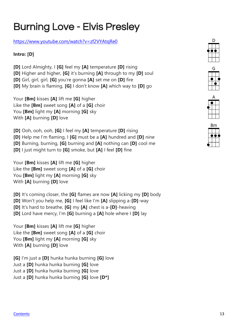### <span id="page-12-0"></span>Burning Love - Elvis Presley

<https://www.youtube.com/watch?v=zf2VYAtqRe0>

#### **Intro: [D]**

**[D]** Lord Almighty, I **[G]** feel my **[A]** temperature **[D]** rising **[D]** Higher and higher, **[G]** it's burning **[A]** through to my **[D]** soul **[D]** Girl, girl, girl, **[G]** you're gonna **[A]** set me on **[D]** fire **[D]** My brain is flaming, **[G]** I don't know **[A]** which way to **[D]** go

Your **[Bm]** kisses **[A]** lift me **[G]** higher Like the **[Bm]** sweet song **[A]** of a **[G]** choir You **[Bm]** light my **[A]** morning **[G]** sky With **[A]** burning **[D]** love

**[D]** Ooh, ooh, ooh, **[G]** I feel my **[A]** temperature **[D]** rising

**[D]** Help me I'm flaming, I **[G]** must be a **[A]** hundred and **[D]** nine

**[D]** Burning, burning, **[G]** burning and **[A]** nothing can **[D]** cool me

**[D]** I just might turn to **[G]** smoke, but **[A]** I feel **[D]** fine

Your **[Bm]** kisses **[A]** lift me **[G]** higher Like the **[Bm]** sweet song **[A]** of a **[G]** choir You **[Bm]** light my **[A]** morning **[G]** sky With **[A]** burning **[D]** love

**[D]** It's coming closer, the **[G]** flames are now **[A]** licking my **[D]** body

**[D]** Won't you help me, **[G]** I feel like I'm **[A]** slipping a-**[D]**-way

**[D]** It's hard to breathe, **[G]** my **[A]** chest is a-**[D]**-heaving

**[D]** Lord have mercy, I'm **[G]** burning a **[A]** hole where I **[D]** lay

Your **[Bm]** kisses **[A]** lift me **[G]** higher Like the **[Bm]** sweet song **[A]** of a **[G]** choir You **[Bm]** light my **[A]** morning **[G]** sky With **[A]** burning **[D]** love

**[G]** I'm just a **[D]** hunka hunka burning **[G]** love Just a **[D]** hunka hunka burning **[G]** love Just a **[D]** hunka hunka burning **[G]** love Just a **[D]** hunka hunka burning **[G]** love **[D\*]**





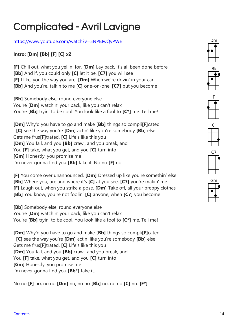### <span id="page-13-0"></span>Complicated - Avril Lavigne

<https://www.youtube.com/watch?v=5NPBIwQyPWE>

### **Intro: [Dm] [Bb] [F] [C] x2**

**[F]** Chill out, what you yellin' for. **[Dm]** Lay back, it's all been done before **[Bb]** And if, you could only **[C]** let it be, **[C7]** you will see **[F]** I like, you the way you are. **[Dm]** When we're drivin' in your car **[Bb]** And you're, talkin to me **[C]** one-on-one, **[C7]** but you become

**[Bb]** Somebody else, round everyone else You're **[Dm]** watchin' your back, like you can't relax You're **[Bb]** tryin' to be cool. You look like a fool to **[C\*]** me. Tell me!

**[Dm]** Why'd you have to go and make **[Bb]** things so compli**[F]**cated I **[C]** see the way you're **[Dm]** actin' like you're somebody **[Bb]** else Gets me frus**[F]**trated. **[C]** Life's like this you **[Dm]** You fall, and you **[Bb]** crawl, and you break, and You **[F]** take, what you get, and you **[C]** turn into **[Gm]** Honestly, you promise me I'm never gonna find you **[Bb]** fake it. No no **[F]** no

**[F]** You come over unannounced. **[Dm]** Dressed up like you're somethin' else **[Bb]** Where you, are and where it's **[C]** at you see, **[C7]** you're makin' me **[F]** Laugh out, when you strike a pose. **[Dm]** Take off, all your preppy clothes **[Bb]** You know, you're not foolin' **[C]** anyone, when **[C7]** you become

**[Bb]** Somebody else, round everyone else You're **[Dm]** watchin' your back, like you can't relax You're **[Bb]** tryin' to be cool. You look like a fool to **[C\*]** me. Tell me!

**[Dm]** Why'd you have to go and make **[Bb]** things so compli**[F]**cated I **[C]** see the way you're **[Dm]** actin' like you're somebody **[Bb]** else Gets me frus**[F]**trated. **[C]** Life's like this you **[Dm]** You fall, and you **[Bb]** crawl, and you break, and You **[F]** take, what you get, and you **[C]** turn into **[Gm]** Honestly, you promise me I'm never gonna find you **[Bb\*]** fake it.

No no **[F]** no, no no **[Dm]** no, no no **[Bb]** no, no no **[C]** no. **[F\*]**







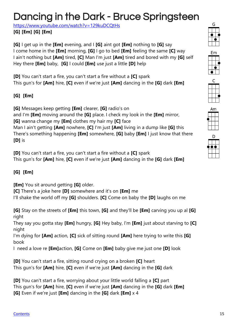### <span id="page-14-0"></span>Dancing in the Dark - Bruce Springsteen

<https://www.youtube.com/watch?v=129kuDCQtHs> **[G] [Em] [G] [Em]**

**[G]** I get up in the **[Em]** evening, and I **[G]** aint got **[Em]** nothing to **[G]** say I come home in the **[Em]** morning, **[G]** I go to bed **[Em]** feeling the same **[C]** way I ain't nothing but **[Am]** tired, **[C]** Man I'm just **[Am]** tired and bored with my **[G]** self Hey there **[Em]** baby, **[G]** I could **[Em]** use just a little **[D]** help

**[D]** You can't start a fire, you can't start a fire without a **[C]** spark This gun's for **[Am]** hire, **[C]** even if we're just **[Am]** dancing in the **[G]** dark **[Em]**

### **[G] [Em]**

**[G]** Messages keep getting **[Em]** clearer, **[G]** radio's on and I'm **[Em]** moving around the **[G]** place. I check my look in the **[Em]** mirror, **[G]** wanna change my **[Em]** clothes my hair my **[C]** face Man I ain't getting **[Am]** nowhere, **[C]** I'm just **[Am]** living in a dump like **[G]** this There's something happening **[Em]** somewhere, **[G]** baby **[Em]** I just know that there **[D]** is

**[D]** You can't start a fire, you can't start a fire without a **[C]** spark This gun's for **[Am]** hire, **[C]** even if we're just **[Am]** dancing in the **[G]** dark **[Em]**

#### **[G] [Em]**

**[Em]** You sit around getting **[G]** older.

**[C]** There's a joke here **[D]** somewhere and it's on **[Em]** me

I'll shake the world off my **[G]** shoulders. **[C]** Come on baby the **[D]** laughs on me

**[G]** Stay on the streets of **[Em]** this town, **[G]** and they'll be **[Em]** carving you up al **[G]** right

They say you gotta stay **[Em]** hungry, **[G]** Hey baby, I'm **[Em]** just about starving to **[C]** night

I'm dying for **[Am]** action, **[C]** sick of sitting round **[Am]** here trying to write this **[G]** book

I need a love re **[Em]**action, **[G]** Come on **[Em]** baby give me just one **[D]** look

**[D]** You can't start a fire, sitting round crying on a broken **[C]** heart This gun's for **[Am]** hire, **[C]** even if we're just **[Am]** dancing in the **[G]** dark

**[D]** You can't start a fire, worrying about your little world falling a **[C]** part This gun's for **[Am]** hire, **[C]** even if we're just **[Am]** dancing in the **[G]** dark **[Em] [G]** Even if we're just **[Em]** dancing in the **[G]** dark **[Em]** x 4







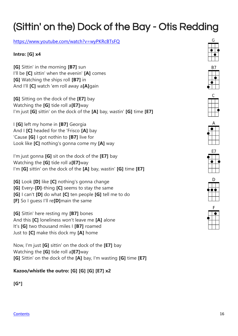# <span id="page-15-0"></span>(Sittin' on the) Dock of the Bay - Otis Redding

<https://www.youtube.com/watch?v=wyPKRcBTsFQ>

#### **Intro: [G] x4**

**[G]** Sittin' in the morning **[B7]** sun I'll be **[C]** sittin' when the evenin' **[A]** comes **[G]** Watching the ships roll **[B7]** in And I'll **[C]** watch 'em roll away a**[A]**gain

**[G]** Sitting on the dock of the **[E7]** bay Watching the **[G]** tide roll a**[E7]**way I'm just **[G]** sittin' on the dock of the **[A]** bay, wastin' **[G]** time **[E7]**

I **[G]** left my home in **[B7]** Georgia And I **[C]** headed for the 'Frisco **[A]** bay 'Cause **[G]** I got nothin to **[B7]** live for Look like **[C]** nothing's gonna come my **[A]** way

I'm just gonna **[G]** sit on the dock of the **[E7]** bay Watching the **[G]** tide roll a**[E7]**way I'm **[G]** sittin' on the dock of the **[A]** bay, wastin' **[G]** time **[E7]**

**[G]** Look **[D]** like **[C]** nothing's gonna change **[G]** Every-**[D]**-thing **[C]** seems to stay the same **[G]** I can't **[D]** do what **[C]** ten people **[G]** tell me to do **[F]** So I guess I'll re**[D]**main the same

**[G]** Sittin' here resting my **[B7]** bones And this **[C]** loneliness won't leave me **[A]** alone It's **[G]** two thousand miles I **[B7]** roamed Just to **[C]** make this dock my **[A]** home

Now, I'm just **[G]** sittin' on the dock of the **[E7]** bay Watching the **[G]** tide roll a**[E7]**way **[G]** Sittin' on the dock of the **[A]** bay, I'm wasting **[G]** time **[E7]**

#### **Kazoo/whistle the outro: [G] [G] [G] [E7] x2**

**[G\*]**



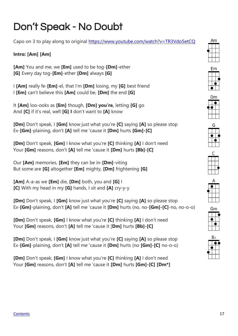## <span id="page-16-0"></span>Don't Speak - No Doubt

Capo on 3 to play along to original<https://www.youtube.com/watch?v=TR3Vdo5etCQ>

### **Intro: [Am] [Am]**

**[Am]** You and me, we **[Em]** used to be tog-**[Dm]**-ether **[G]** Every day tog-**[Em]**-ether **[Dm]** always **[G]**

I **[Am]** really fe-**[Em]**-el, that I'm **[Dm]** losing, my **[G]** best friend I **[Em]** can't believe this **[Am]** could be, **[Dm]** the end **[G]**

It **[Am]** loo-ooks as **[Em]** though, **[Dm] you're,** letting **[G]** go And **[C]** if it's real, well **[G] I** don't want to **[A]** know

**[Dm]** Don't speak, I **[Gm]** know just what you're **[C]** saying **[A]** so please stop Ex-**[Gm]**-plaining, don't **[A]** tell me 'cause it **[Dm]** hurts **[Gm]-[C]**

**[Dm]** Don't speak, **[Gm]** I know what you're **[C]** thinking **[A]** I don't need Your **[Gm]** reasons, don't **[A]** tell me 'cause it **[Dm]** hurts **[Bb]-[C]**

Our **[Am]** memories, **[Em]** they can be in-**[Dm]**-viting But some are **[G]** altogether **[Em]** mighty, **[Dm]** frightening **[G]**

**[Am]** A-a-as we **[Em]** die, **[Dm]** both, you and **[G]** I **[C]** With my head in my **[G]** hands, I sit and **[A]** cry-y-y

**[Dm]** Don't speak, I **[Gm]** know just what you're **[C]** saying **[A]** so please stop Ex-**[Gm]**-plaining, don't **[A]** tell me 'cause it **[Dm]** hurts (no, no-**[Gm]-[C]**-no, no-o-o)

**[Dm]** Don't speak, **[Gm]** I know what you're **[C]** thinking **[A]** I don't need Your **[Gm]** reasons, don't **[A]** tell me 'cause it [**Dm]** hurts **[Bb]-[C]**

**[Dm]** Don't speak, I **[Gm]** know just what you're **[C]** saying **[A]** so please stop Ex-**[Gm]**-plaining, don't **[A]** tell me 'cause it **[Dm]** hurts (no **[Gm]-[C]** no-o-o)

**[Dm]** Don't speak, **[Gm]** I know what you're **[C]** thinking **[A]** I don't need Your **[Gm]** reasons, don't **[A]** tell me 'cause it **[Dm]** hurts **[Gm]-[C] [Dm\*]**















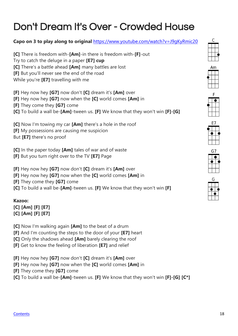### <span id="page-17-0"></span>Don't Dream It's Over - Crowded House

**Capo on 3 to play along to original** <https://www.youtube.com/watch?v=J9gKyRmic20>

- **[C]** There is freedom with-**[Am]**-in there is freedom with-**[F]**-out
- Try to catch the deluge in a paper **[E7] cup**
- **[C]** There's a battle ahead **[Am]** many battles are lost
- **[F]** But you'll never see the end of the road
- While you're **[E7]** travelling with me

**[F]** Hey now hey **[G7]** now don't **[C]** dream it's **[Am]** over

- **[F]** Hey now hey **[G7]** now when the **[C]** world comes **[Am]** in
- **[F]** They come they **[G7]** come
- **[C]** To build a wall be-**[Am]**-tween us. **[F]** We know that they won't win **[F]-[G]**

**[C]** Now I'm towing my car **[Am]** there's a hole in the roof **[F]** My possessions are causing me suspicion But **[E7]** there's no proof

**[C]** In the paper today **[Am]** tales of war and of waste **[F]** But you turn right over to the TV **[E7]** Page

**[F]** Hey now hey **[G7]** now don't **[C]** dream it's **[Am]** over

- **[F]** Hey now hey **[G7]** now when the **[C]** world comes **[Am]** in
- **[F]** They come they **[G7]** come
- **[C]** To build a wall be-**[Am]**-tween us. **[F]** We know that they won't win **[F]**

### **Kazoo:**

**[C] [Am] [F] [E7] [C] [Am] [F] [E7]**

**[C]** Now I'm walking again **[Am]** to the beat of a drum

- **[F]** And I'm counting the steps to the door of your **[E7]** heart
- **[C]** Only the shadows ahead **[Am]** barely clearing the roof
- **[F]** Get to know the feeling of liberation **[E7]** and relief

**[F]** Hey now hey **[G7]** now don't **[C]** dream it's **[Am]** over

- **[F]** Hey now hey **[G7]** now when the **[C]** world comes **[Am]** in
- **[F]** They come they **[G7]** come
- **[C]** To build a wall be-**[Am]**-tween us. **[F]** We know that they won't win **[F]-[G] [C\*]**











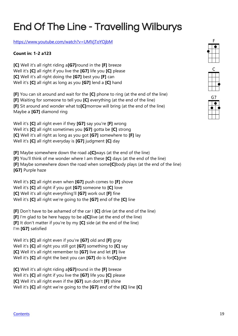### <span id="page-18-0"></span>End Of The Line - Travelling Wilburys

<https://www.youtube.com/watch?v=UMVjToYOjbM>

#### **Count in: 1-2 a123**

**[C]** Well it's all right riding a**[G7]**round in the **[F]** breeze Well it's **[C]** all right if you live the **[G7]** life you **[C]** please **[C]** Well it's all right doing the **[G7]** best you **[F]** can Well it's **[C]** all right as long as you **[G7]** lend a **[C]** hand

**[F]** You can sit around and wait for the **[C]** phone to ring (at the end of the line) **[F]** Waiting for someone to tell you **[C]** everything (at the end of the line) **[F]** Sit around and wonder what to**[C]**morrow will bring (at the end of the line) Maybe a **[G7]** diamond ring

Well it's **[C]** all right even if they **[G7]** say you're **[F]** wrong Well it's **[C]** all right sometimes you **[G7]** gotta be **[C]** strong **[C]** Well it's all right as long as you got **[G7]** somewhere to **[F]** lay Well it's **[C]** all right everyday is **[G7]** judgment **[C]** day

**[F]** Maybe somewhere down the road a**[C]**ways (at the end of the line) **[F]** You'll think of me wonder where I am these **[C]** days (at the end of the line) **[F]** Maybe somewhere down the road when some**[C]**body plays (at the end of the line) **[G7]** Purple haze

Well it's **[C]** all right even when **[G7]** push comes to **[F]** shove Well it's **[C]** all right if you got **[G7]** someone to **[C]** love **[C]** Well it's all right everything'll **[G7]** work out **[F]** fine Well it's **[C]** all right we're going to the **[G7]** end of the **[C]** line

**[F]** Don't have to be ashamed of the car I **[C]** drive (at the end of the line) **[F]** I'm glad to be here happy to be a**[C]**live (at the end of the line) **[F]** It don't matter if you're by my **[C]** side (at the end of the line) I'm **[G7]** satisfied

Well it's **[C]** all right even if you're **[G7]** old and **[F]** gray Well it's **[C]** all right you still got **[G7]** something to **[C]** say **[C]** Well it's all right remember to **[G7]** live and let **[F]** live Well it's **[C]** all right the best you can **[G7]** do is for**[C]**give

**[C]** Well it's all right riding a**[G7]**round in the **[F]** breeze Well it's **[C]** all right if you live the **[G7]** life you **[C]** please **[C]** Well it's all right even if the **[G7]** sun don't **[F]** shine Well it's **[C]** all right we're going to the **[G7]** end of the **[C]** line **[C]**

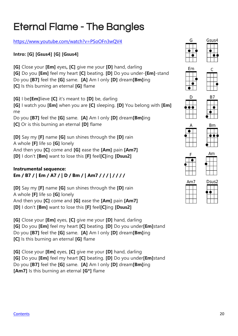### <span id="page-19-0"></span>Eternal Flame - The Bangles

<https://www.youtube.com/watch?v=PSoOFn3wQV4>

### **Intro: [G] [Gsus4] [G] [Gsus4]**

**[G]** Close your **[Em]** eyes**, [C]** give me your **[D]** hand, darling **[G]** Do you **[Em]** feel my heart **[C]** beating. **[D]** Do you under-**[Em]**-stand Do you **[B7]** feel the **[G]** same. **[A]** Am I only **[D]** dream**[Bm]**ing **[C]** Is this burning an eternal **[G]** flame

**[G]** I be**[Em]**lieve **[C]** it's meant to **[D]** be, darling **[G]** I watch you **[Em]** when you are **[C]** sleeping. **[D]** You belong with **[Em]**  me Do you **[B7]** feel the **[G]** same. **[A]** Am I only **[D]** dream**[Bm]**ing **[C]** Or is this burning an eternal **[D]** flame

**[D]** Say my **[F]** name **[G]** sun shines through the **[D]** rain A whole **[F]** life so **[G]** lonely And then you **[C]** come and **[G]** ease the **[Am]** pain **[Am7] [D]** I don't **[Bm]** want to lose this **[F]** feel**[C]**ing **[Dsus2]**

#### **Instrumental sequence: Em / B7 / | Em / A7 / | D / Bm / | Am7 / / / | / / / /**

**[D]** Say my **[F]** name **[G]** sun shines through the **[D]** rain A whole **[F]** life so **[G]** lonely And then you **[C]** come and **[G]** ease the **[Am]** pain **[Am7] [D]** I don't **[Bm]** want to lose this **[F]** feel**[C]**ing **[Dsus2]**

**[G]** Close your **[Em]** eyes, **[C]** give me your **[D]** hand, darling **[G]** Do you **[Em]** feel my heart **[C]** beating. **[D]** Do you under**[Em]**stand Do you **[B7]** feel the **[G]** same. **[A]** Am I only **[D]** dream**[Bm]**ing **[C]** Is this burning an eternal **[G]** flame

**[G]** Close your **[Em]** eyes, **[C]** give me your **[D]** hand, darling **[G]** Do you **[Em]** feel my heart **[C]** beating. **[D]** Do you under**[Em]**stand Do you **[B7]** feel the **[G]** same. **[A]** Am I only **[D]** dream**[Bm]**ing **[Am7]** Is this burning an eternal **[G\*]** flame











| Ľ |
|---|
|   |
| l |
| ľ |



| m7 | Dsus2 |  |  |  |
|----|-------|--|--|--|
|    |       |  |  |  |
|    |       |  |  |  |
|    |       |  |  |  |
|    |       |  |  |  |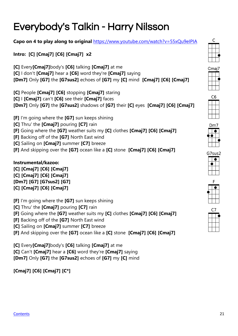### <span id="page-20-0"></span>Everybody's Talkin - Harry Nilsson

**Capo on 4 to play along to original** <https://www.youtube.com/watch?v=55xQu9eIPIA>

#### **Intro: [C] [Cmaj7] [C6] [Cmaj7] x2**

**[C]** Every**[Cmaj7]**body's **[C6]** talking **[Cmaj7]** at me **[C]** I don't **[Cmaj7]** hear a **[C6]** word they're **[Cmaj7]** saying **[Dm7]** Only **[G7]** the **[G7sus2]** echoes of **[G7]** my **[C]** mind **[Cmaj7] [C6] [Cmaj7]**

**[C]** People **[Cmaj7] [C6]** stopping **[Cmaj7]** staring **[C]** I **[Cmaj7]** can't **[C6]** see their **[Cmaj7]** faces **[Dm7]** Only **[G7]** the **[G7sus2]** shadows of **[G7]** their **[C]** eyes **[Cmaj7] [C6] [Cmaj7]**

- **[F]** I'm going where the **[G7]** sun keeps shining
- **[C]** Thru' the **[Cmaj7]** pouring **[C7]** rain
- **[F]** Going where the **[G7]** weather suits my **[C]** clothes **[Cmaj7] [C6] [Cmaj7]**
- **[F]** Backing off of the **[G7]** North East wind
- **[C]** Sailing on **[Cmaj7]** summer **[C7]** breeze
- **[F]** And skipping over the **[G7]** ocean like a **[C]** stone **[Cmaj7] [C6] [Cmaj7]**

#### **Instrumental/kazoo:**

**[C] [Cmaj7] [C6] [Cmaj7] [C] [Cmaj7] [C6] [Cmaj7] [Dm7] [G7] [G7sus2] [G7] [C] [Cmaj7] [C6] [Cmaj7]**

**[F]** I'm going where the **[G7]** sun keeps shining

**[C]** Thru' the **[Cmaj7]** pouring **[C7]** rain

**[F]** Going where the **[G7]** weather suits my **[C]** clothes **[Cmaj7] [C6] [Cmaj7]**

- **[F]** Backing off of the **[G7]** North East wind
- **[C]** Sailing on **[Cmaj7]** summer **[C7]** breeze

**[F]** And skipping over the **[G7]** ocean like a **[C]** stone **[Cmaj7] [C6] [Cmaj7]** 

**[C]** Every**[Cmaj7]**body's **[C6]** talking **[Cmaj7]** at me **[C]** Can't **[Cmaj7]** hear a **[C6]** word they're **[Cmaj7]** saying **[Dm7]** Only **[G7]** the **[G7sus2]** echoes of **[G7]** my **[C]** mind

### **[Cmaj7] [C6] [Cmaj7] [C\*]**













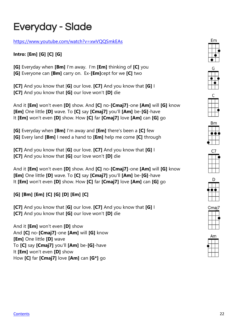### <span id="page-21-0"></span>Everyday - Slade

<https://www.youtube.com/watch?v=xwVQQSmkEAs>

### **Intro: [Em] [G] [C] [G]**

**[G]** Everyday when **[Bm]** I'm away. I'm **[Em]** thinking of **[C]** you **[G]** Everyone can **[Bm]** carry on. Ex-**[Em]**cept for we **[C]** two

**[C7]** And you know that [**G]** our love. **[C7]** And you know that **[G]** I **[C7]** And you know that **[G]** our love won't **[D]** die

And it **[Em]** won't even **[D]** show. And **[C]** no-**[Cmaj7]**-one **[Am]** will **[G]** know **[Em]** One little **[D]** wave. To **[C]** say **[Cmaj7]** you'll **[Am]** be-**[G]**-have It **[Em]** won't even **[D]** show. How **[C]** far **[Cmaj7]** love **[Am]** can **[G]** go

**[G]** Everyday when **[Bm]** I'm away and **[Em]** there's been a **[C]** few **[G]** Every land **[Bm]** I need a hand to **[Em]** help me come **[C]** through

**[C7]** And you know that [**G]** our love. **[C7]** And you know that **[G]** I **[C7]** And you know that **[G]** our love won't **[D]** die

And it **[Em]** won't even **[D]** show. And **[C]** no-**[Cmaj7]**-one **[Am]** will **[G]** know **[Em]** One little **[D]** wave. To **[C]** say **[Cmaj7]** you'll **[Am]** be-**[G]**-have It **[Em]** won't even **[D]** show. How **[C]** far **[Cmaj7]** love **[Am]** can **[G]** go

### **[G] [Bm] [Em] [C] [G] [D] [Em] [C]**

**[C7]** And you know that [**G]** our love. **[C7]** And you know that **[G]** I **[C7]** And you know that **[G]** our love won't **[D]** die

And it **[Em]** won't even **[D]** show And **[C]** no-**[Cmaj7]**-one **[Am]** will **[G]** know **[Em]** One little **[D]** wave To **[C]** say **[Cmaj7]** you'll **[Am]** be-**[G]**-have It **[Em]** won't even **[D]** show How **[C]** far **[Cmaj7]** love **[Am]** can **[G\*]** go













| ma |  |  |
|----|--|--|
|    |  |  |
|    |  |  |
|    |  |  |
|    |  |  |
|    |  |  |

| ı |  |  |
|---|--|--|
|   |  |  |
|   |  |  |
|   |  |  |
|   |  |  |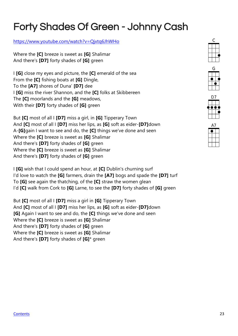### <span id="page-22-0"></span>Forty Shades Of Green - Johnny Cash

#### <https://www.youtube.com/watch?v=Qjxtq6JhWHo>

Where the **[C]** breeze is sweet as **[G]** Shalimar And there's **[D7]** forty shades of **[G]** green

I **[G]** close my eyes and picture, the **[C]** emerald of the sea From the **[C]** fishing boats at **[G]** Dingle, To the **[A7]** shores of Duna' **[D7]** dee I **[G]** miss the river Shannon, and the **[C]** folks at Skibbereen The **[C]** moorlands and the **[G]** meadows, With their **[D7]** forty shades of **[G]** green

But **[C]** most of all I **[D7]** miss a girl, in **[G]** Tipperary Town And **[C]** most of all I **[D7]** miss her lips, as **[G]** soft as eider-**[D7]**down A-**[G]**gain I want to see and do, the **[C]** things we've done and seen Where the **[C]** breeze is sweet as **[G]** Shalimar And there's **[D7]** forty shades of **[G]** green Where the **[C]** breeze is sweet as **[G]** Shalimar And there's **[D7]** forty shades of **[G]** green

I **[G]** wish that I could spend an hour, at **[C]** Dublin's churning surf I'd love to watch the **[G]** farmers, drain the **[A7]** bogs and spade the **[D7]** turf To **[G]** see again the thatching, of the **[C]** straw the women glean I'd **[C]** walk from Cork to **[G]** Larne, to see the **[D7]** forty shades of **[G]** green

But **[C]** most of all I **[D7]** miss a girl in **[G]** Tipperary Town And **[C]** most of all I **[D7]** miss her lips, as **[G]** soft as eider-**[D7]**down **[G]** Again I want to see and do, the **[C]** things we've done and seen Where the **[C]** breeze is sweet as **[G]** Shalimar And there's **[D7]** forty shades of **[G]** green Where the **[C]** breeze is sweet as **[G]** Shalimar And there's **[D7]** forty shades of **[G]**\* green

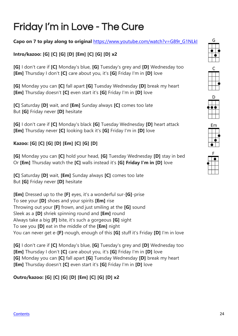# <span id="page-23-0"></span>Friday I'm in Love - The Cure

Capo on 7 to play along to original [https://www.youtube.com/watch?v=G89r\\_G1NLkI](https://www.youtube.com/watch?v=G89r_G1NLkI)

### **Intro/kazoo: [G] [C] [G] [D] [Em] [C] [G] [D] x2**

**[G]** I don't care if **[C]** Monday's blue, **[G]** Tuesday's grey and **[D]** Wednesday too **[Em]** Thursday I don't **[C]** care about you, it's **[G]** Friday I'm in **[D]** love

**[G]** Monday you can **[C]** fall apart **[G]** Tuesday Wednesday **[D]** break my heart **[Em]** Thursday doesn't **[C]** even start it's **[G]** Friday I'm in **[D]** love

**[C]** Saturday **[D]** wait, and **[Em]** Sunday always **[C]** comes too late But **[G]** Friday never **[D]** hesitate

**[G]** I don't care if **[C]** Monday's black **[G]** Tuesday Wednesday **[D]** heart attack **[Em]** Thursday never **[C]** looking back it's **[G]** Friday I'm in **[D]** love

### **Kazoo: [G] [C] [G] [D] [Em] [C] [G] [D]**

**[G]** Monday you can **[C]** hold your head, **[G]** Tuesday Wednesday **[D]** stay in bed Or **[Em]** Thursday watch the **[C]** walls instead it's **[G] Friday I'm in [D]** love

**[C]** Saturday **[D]** wait, **[Em]** Sunday always **[C]** comes too late But **[G]** Friday never **[D]** hesitate

**[Em]** Dressed up to the **[F]** eyes, it's a wonderful sur-**[G]**-prise To see your **[D]** shoes and your spirits **[Em]** rise Throwing out your **[F]** frown, and just smiling at the **[G]** sound Sleek as a **[D]** shriek spinning round and **[Em]** round Always take a big **[F]** bite, it's such a gorgeous **[G]** sight To see you **[D]** eat in the middle of the **[Em]** night You can never get e-**[F]**-nough, enough of this **[G]** stuff it's Friday **[D]** I'm in love

**[G]** I don't care if **[C]** Monday's blue, **[G]** Tuesday's grey and **[D]** Wednesday too **[Em]** Thursday I don't **[C]** care about you, it's **[G]** Friday I'm in **[D]** love **[G]** Monday you can **[C]** fall apart **[G]** Tuesday Wednesday **[D]** break my heart **[Em]** Thursday doesn't **[C]** even start it's **[G]** Friday I'm in **[D]** love

### **Outro/kazoo: [G] [C] [G] [D] [Em] [C] [G] [D] x2**



G



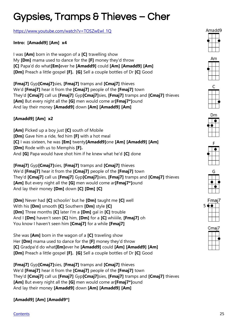# <span id="page-24-0"></span>Gypsies, Tramps & Thieves – Cher

[https://www.youtube.com/watch?v=TOSZwEwl\\_1Q](https://www.youtube.com/watch?v=TOSZwEwl_1Q)

#### **Intro: [Amadd9] [Am] x4**

I was **[Am]** born in the wagon of a **[C]** travelling show My **[Dm]** mama used to dance for the **[F]** money they'd throw **[C]** Papa'd do what**[Em]**ever he **[Amadd9]** could **[Am] [Amadd9] [Am] [Dm]** Preach a little gospel **[F]. [G]** Sell a couple bottles of Dr **[C]** Good

**[Fmaj7]** Gyp**[Cmaj7]**sies, **[Fmaj7]** tramps and **[Cmaj7]** thieves We'd **[Fmaj7]** hear it from the **[Cmaj7]** people of the **[Fmaj7]** town They'd **[Cmaj7]** call us **[Fmaj7]** Gyp**[Cmaj7]**sies, **[Fmaj7]** tramps and **[Cmaj7]** thieves **[Am]** But every night all the **[G]** men would come ar**[Fmaj7\*]**ound And lay their money **[Amadd9]** down **[Am] [Amadd9] [Am]**

#### **[Amadd9] [Am] x2**

**[Am]** Picked up a boy just **[C]** south of Mobile **[Dm]** Gave him a ride, fed him **[F]** with a hot meal **[C]** I was sixteen, he was **[Em]** twenty**[Amadd9]**one **[Am] [Amadd9] [Am] [Dm]** Rode with us to Memphis **[F].**  And **[G]** Papa would have shot him if he knew what he'd **[C]** done

**[Fmaj7]** Gyp**[Cmaj7]**sies, **[Fmaj7]** tramps and **[Cmaj7]** thieves We'd **[Fmaj7]** hear it from the **[Cmaj7]** people of the **[Fmaj7]** town They'd **[Cmaj7]** call us **[Fmaj7]** Gyp**[Cmaj7]**sies, **[Fmaj7]** tramps and **[Cmaj7]** thieves **[Am]** But every night all the **[G]** men would come ar**[Fmaj7\*]**ound And lay their money **[Dm]** down **[C] [Dm] [C]**

**[Dm]** Never had **[C]** schoolin' but he **[Dm]** taught me **[C]** well With his **[Dm]** smooth **[C]** Southern **[Dm]** style **[C] [Dm]** Three months **[C]** later I'm a **[Dm]** gal in **[C]** trouble And I **[Dm]** haven't seen **[C]** him, **[Dm]** for a **[C]** whiiiile, **[Fmaj7]** oh You know I haven't seen him **[Cmaj7]** for a while **[Fmaj7]**

She was **[Am]** born in the wagon of a **[C]** traveling show Her **[Dm]** mama used to dance for the **[F]** money they'd throw **[C]** Gradpa'd do what**[Em]**ever he **[Amadd9]** could **[Am] [Amadd9] [Am] [Dm]** Preach a little gospel **[F]. [G]** Sell a couple bottles of Dr **[C]** Good

**[Fmaj7]** Gyp**[Cmaj7]**sies, **[Fmaj7]** tramps and **[Cmaj7]** thieves We'd **[Fmaj7]** hear it from the **[Cmaj7]** people of the **[Fmaj7]** town They'd **[Cmaj7]** call us **[Fmaj7]** Gyp**[Cmaj7]**sies, **[Fmaj7]** tramps and **[Cmaj7]** thieves **[Am]** But every night all the **[G]** men would come ar**[Fmaj7\*]**ound And lay their money **[Amadd9]** down **[Am] [Amadd9] [Am]**

#### **[Amadd9] [Am] [Amadd9\*]**

# Amadd9













| ma |  |  |  |
|----|--|--|--|
|    |  |  |  |
|    |  |  |  |
|    |  |  |  |
|    |  |  |  |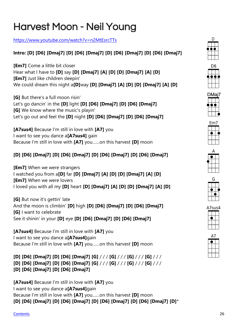### <span id="page-25-0"></span>Harvest Moon - Neil Young

<https://www.youtube.com/watch?v=n2MtEsrcTTs>

### **Intro: [D] [D6] [Dmaj7] [D] [D6] [Dmaj7] [D] [D6] [Dmaj7] [D] [D6] [Dmaj7]**

**[Em7]** Come a little bit closer Hear what I have to **[D]** say **[D] [Dmaj7] [A] [D] [D] [Dmaj7] [A] [D] [Em7]** Just like children sleepin' We could dream this night a**[D]**way **[D] [Dmaj7] [A] [D] [D] [Dmaj7] [A] [D]**

**[G]** But there's a full moon risin' Let's go dancin' in the **[D]** light **[D] [D6] [Dmaj7] [D] [D6] [Dmaj7] [G]** We know where the music's playin' Let's go out and feel the **[D]** night **[D] [D6] [Dmaj7] [D] [D6] [Dmaj7]**

**[A7sus4]** Because I'm still in love with **[A7]** you I want to see you dance a**[A7sus4]** gain Because I'm still in love with **[A7]** you……on this harvest **[D]** moon

### **[D] [D6] [Dmaj7] [D] [D6] [Dmaj7] [D] [D6] [Dmaj7] [D] [D6] [Dmaj7]**

**[Em7]** When we were strangers I watched you from a**[D]** far **[D] [Dmaj7] [A] [D] [D] [Dmaj7] [A] [D] [Em7]** When we were lovers I loved you with all my **[D]** heart **[D] [Dmaj7] [A] [D] [D] [Dmaj7] [A] [D]**

**[G]** But now it's gettin' late And the moon is climbin' **[D]** high **[D] [D6] [Dmaj7] [D] [D6] [Dmaj7] [G]** I want to celebrate See it shinin' in your **[D]** eye **[D] [D6] [Dmaj7] [D] [D6] [Dmaj7]**

**[A7sus4]** Because I'm still in love with **[A7]** you I want to see you dance a**[A7sus4]**gain Because I'm still in love with **[A7]** you……on this harvest **[D]** moon

**[D] [D6] [Dmaj7] [D] [D6] [Dmaj7] [G]** / / / **[G]** / / / **[G]** / / / **[G]** / / / **[D] [D6] [Dmaj7] [D] [D6] [Dmaj7] [G]** / / / **[G]** / / / **[G]** / / / **[G]** / / / **[D] [D6] [Dmaj7] [D] [D6] [Dmaj7]**

**[A7sus4]** Because I'm still in love with **[A7]** you I want to see you dance a**[A7sus4]**gain Because I'm still in love with **[A7]** you……on this harvest **[D]** moon **[D] [D6] [Dmaj7] [D] [D6] [Dmaj7] [D] [D6] [Dmaj7] [D] [D6] [Dmaj7] [D]**\*









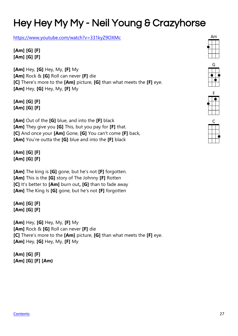### <span id="page-26-0"></span>Hey Hey My My - Neil Young & Crazyhorse

<https://www.youtube.com/watch?v=331kyZ9OXMc>

**[Am] [G] [F] [Am] [G] [F]** 

**[Am]** Hey, **[G]** Hey, My, **[F]** My **[Am]** Rock & **[G]** Roll can never **[F]** die **[C]** There's more to the **[Am]** picture, **[G]** than what meets the **[F]** eye. **[Am]** Hey, **[G]** Hey, My, **[F]** My

**[Am] [G] [F] [Am] [G] [F]** 

**[Am]** Out of the **[G]** blue, and into the **[F]** black **[Am]** They give you **[G]** This, but you pay for **[F]** that. **[C]** And once your **[Am]** Gone, **[G]** You can't come **[F]** back, **[Am]** You're outta the **[G]** blue and into the **[F]** black

**[Am] [G] [F] [Am] [G] [F]** 

**[Am]** The king is **[G]** gone, but he's not **[F]** forgotten. **[Am]** This is the **[G]** story of The Johnny **[F]** Rotten **[C]** It's better to **[Am]** burn out**, [G]** than to fade away **[Am]** The King Is **[G]** gone, but he's not **[F]** forgotten

**[Am] [G] [F] [Am] [G] [F]** 

**[Am]** Hey, **[G]** Hey, My, **[F]** My **[Am]** Rock & **[G]** Roll can never **[F]** die **[C]** There's more to the **[Am]** picture, **[G]** than what meets the **[F]** eye. **[Am]** Hey, **[G]** Hey, My, **[F]** My

**[Am] [G] [F] [Am] [G] [F] [Am}**





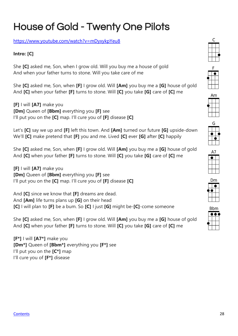### <span id="page-27-0"></span>House of Gold - Twenty One Pilots

<https://www.youtube.com/watch?v=mDyxykpYeu8>

### **Intro: [C]**

She **[C]** asked me, Son, when I grow old. Will you buy me a house of gold And when your father turns to stone. Will you take care of me

She **[C]** asked me, Son, when **[F]** I grow old. Will **[Am]** you buy me a **[G]** house of gold And **[C]** when your father **[F]** turns to stone. Will **[C]** you take **[G]** care of **[C]** me

**[F]** I will **[A7]** make you **[Dm]** Queen of **[Bbm]** everything you **[F]** see I'll put you on the **[C]** map. I'll cure you of **[F]** disease **[C]**

Let's **[C]** say we up and **[F]** left this town. And **[Am]** turned our future **[G]** upside-down We'll **[C]** make pretend that **[F]** you and me. Lived **[C]** ever **[G]** after **[C]** happily

She **[C]** asked me, Son, when **[F]** I grow old. Will **[Am]** you buy me a **[G]** house of gold And **[C]** when your father **[F]** turns to stone. Will **[C]** you take **[G]** care of **[C]** me

**[F]** I will **[A7]** make you **[Dm]** Queen of **[Bbm]** everything you **[F]** see I'll put you on the **[C]** map. I'll cure you of **[F]** disease **[C]**

And **[C]** since we know that **[F]** dreams are dead. And **[Am]** life turns plans up **[G]** on their head **[C]** I will plan to **[F]** be a bum. So **[C]** I just **[G]** might be-**[C]**-come someone

She **[C]** asked me, Son, when **[F]** I grow old. Will **[Am]** you buy me a **[G]** house of gold And **[C]** when your father **[F]** turns to stone. Will **[C]** you take **[G]** care of **[C]** me

**[F\*]** I will **[A7\*]** make you **[Dm\*]** Queen of **[Bbm\*]** everything you **[F\*]** see I'll put you on the **[C\*]** map I'll cure you of **[F\*]** disease













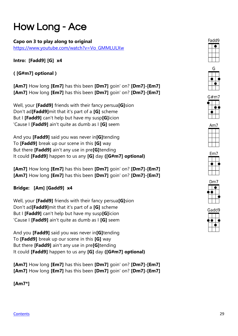### <span id="page-28-0"></span>How Long - Ace

**Capo on 3 to play along to original**  [https://www.youtube.com/watch?v=Vo\\_GMMLULXw](https://www.youtube.com/watch?v=Vo_GMMLULXw)

**Intro: [Fadd9] [G] x4**

**( [G#m7] optional )**

**[Am7]** How long **[Em7]** has this been **[Dm7]** goin' on? **[Dm7]-[Em7] [Am7]** How long **[Em7]** has this been **[Dm7]** goin' on? **[Dm7]-[Em7]**

Well, your **[Fadd9]** friends with their fancy persua**[G]**sion Don't ad**[Fadd9]**mit that it's part of a **[G]** scheme But I **[Fadd9]** can't help but have my susp**[G]**icion 'Cause I **[Fadd9]** ain't quite as dumb as I **[G]** seem

And you **[Fadd9]** said you was never in**[G]**tending To **[Fadd9]** break up our scene in this **[G]** way But there **[Fadd9]** ain't any use in pre**[G]**tending It could **[Fadd9]** happen to us any **[G]** day **([G#m7] optional)**

**[Am7]** How long **[Em7]** has this been **[Dm7]** goin' on? **[Dm7]-[Em7] [Am7]** How long **[Em7]** has this been **[Dm7]** goin' on? **[Dm7]-[Em7]**

**Bridge: [Am] [Gadd9] x4**

Well, your **[Fadd9]** friends with their fancy persua**[G]**sion Don't ad**[Fadd9]**mit that it's part of a **[G]** scheme But I **[Fadd9]** can't help but have my susp**[G]**icion 'Cause I **[Fadd9]** ain't quite as dumb as I **[G]** seem

And you **[Fadd9]** said you was never in**[G]**tending To **[Fadd9]** break up our scene in this **[G]** way But there **[Fadd9]** ain't any use in pre**[G]**tending It could **[Fadd9]** happen to us any **[G]** day **([G#m7] optional)**

**[Am7]** How long **[Em7]** has this been **[Dm7]** goin' on? **[Dm7]-[Em7] [Am7]** How long **[Em7]** has this been **[Dm7]** goin' on? **[Dm7]-[Em7]**

**[Am7\*]**











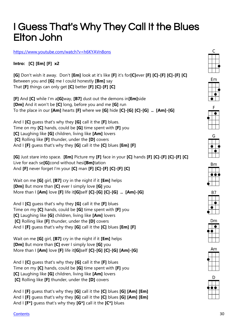### <span id="page-29-0"></span>I Guess That's Why They Call It the Blues Elton John

<https://www.youtube.com/watch?v=h6KYAVn8ons>

**Intro: [C] [Em] [F] x2**

**[G]** Don't wish it away. Don't **[Em]** look at it's like **[F]** it's for**[C]**ever **[F] [C]-[F] [C]-[F] [C]** Between you and **[G]** me I could honestly **[Bm]** say That **[F]** things can only get **[C]** better **[F] [C]-[F] [C]**

**[F]** And **[C]** while I'm a**[G]**way, **[B7]** dust out the demons in**[Em]**side **[Dm]** And it won't be **[C]** long, before you and me **[G]** run To the place in our **[Am]** hearts **[F]** where we **[G]** hide **[C]-[G] [C]-[G] .. [Am]-[G]**

And I **[C]** guess that's why they **[G]** call it the **[F]** blues. Time on my **[C]** hands, could be **[G]** time spent with **[F]** you **[C]** Laughing like **[G]** children, living like **[Am]** lovers **[C]** Rolling like **[F]** thunder, under the **[D]** covers And I **[F]** guess that's why they **[G]** call it the **[C]** blues **[Em] [F]**

**[G]** Just stare into space. **[Em]** Picture my **[F]** face in your **[C]** hands **[F] [C]-[F] [C]-[F] [C]** Live for each se**[G]**cond without hesi**[Bm]**tation And **[F]** never forget I'm your **[C]** man **[F] [C]-[F] [C]-[F] [C]**

Wait on me **[G]** girl, **[B7]** cry in the night if it **[Em]** helps **[Dm]** But more than **[C]** ever I simply love **[G]** you More than I **[Am]** love **[F]** life it**[G]**self **[C]-[G] [C]-[G] .. [Am]-[G]**

And I **[C]** guess that's why they **[G]** call it the **[F]** blues Time on my **[C]** hands, could be **[G]** time spent with **[F]** you **[C]** Laughing like **[G]** children, living like **[Am]** lovers **[C]** Rolling like **[F]** thunder, under the **[D]** covers And I **[F]** guess that's why they **[G]** call it the **[C]** blues **[Em] [F]**

Wait on me **[G]** girl, **[B7]** cry in the night if it **[Em]** helps **[Dm]** But more than **[C]** ever I simply love **[G]** you More than I **[Am]** love **[F]** life it**[G]**self **[C]-[G] [C]-[G] [Am]-[G]**

And I **[C]** guess that's why they **[G]** call it the **[F]** blues Time on my **[C]** hands, could be **[G]** time spent with **[F]** you **[C]** Laughing like **[G]** children, living like **[Am]** lovers **[C]** Rolling like **[F]** thunder, under the **[D]** covers

And I **[F]** guess that's why they **[G]** call it the **[C]** blues **[G] [Am] [Em]** And I **[F]** guess that's why they **[G]** call it the **[C]** blues **[G] [Am] [Em]** And I **[F\*]** guess that's why they **[G\*]** call it the **[C\*]** blues



















#### er <mark>[Contents](#page-1-0)</mark> to the contents of the contents of the contents of the contents of the contents of the contents of the contents of the contents of the contents of the contents of the contents of the contents of the contents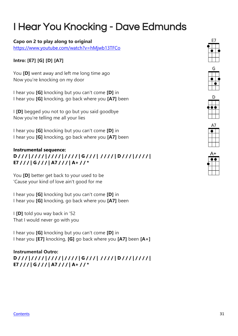# <span id="page-30-0"></span>I Hear You Knocking - Dave Edmunds

**Capo on 2 to play along to original**  <https://www.youtube.com/watch?v=hMjwb13TFCo>

### **Intro: [E7] [G] [D] [A7]**

You **[D]** went away and left me long time ago Now you're knocking on my door

I hear you **[G]** knocking but you can't come **[D]** in I hear you **[G]** knocking, go back where you **[A7]** been

I **[D]** begged you not to go but you said goodbye Now you're telling me all your lies

I hear you **[G]** knocking but you can't come **[D]** in I hear you **[G]** knocking, go back where you **[A7]** been

#### **Instrumental sequence:**

### **D / / / | / / / / | / / / / | / / / / | G / / / | / / / / | D / / / | / / / / | E7 / / / | G / / / | A7 / / / | A+ / / \***

You **[D]** better get back to your used to be 'Cause your kind of love ain't good for me

I hear you **[G]** knocking but you can't come **[D]** in I hear you **[G]** knocking, go back where you **[A7]** been

I **[D]** told you way back in '52 That I would never go with you

I hear you **[G]** knocking but you can't come **[D]** in I hear you **[E7]** knocking, **[G]** go back where you **[A7]** been **[A+]**

### **Instrumental Outro:**

**D / / / | / / / / | / / / / | / / / / | G / / / | / / / / | D / / / | / / / / | E7 / / / | G / / / | A7 / / / | A+ / / \***







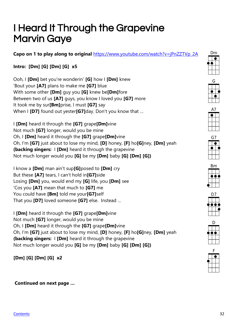### <span id="page-31-0"></span>I Heard It Through the Grapevine Marvin Gaye

**Capo on 1 to play along to original [https://www.youtube.com/watch?v=jPnZZTVp\\_2A](https://www.youtube.com/watch?v=jPnZZTVp_2A)** 

**Intro: [Dm] [G] [Dm] [G] x5**

Ooh, I **[Dm]** bet you're wonderin' **[G]** how I **[Dm]** knew 'Bout your **[A7]** plans to make me **[G7]** blue With some other **[Dm]** guy you **[G]** knew be**[Dm]**fore Between two of us **[A7]** guys, you know I loved you **[G7]** more It took me by sur**[Bm]**prise, I must **[G7]** say When I **[D7]** found out yester**[G7]**day. Don't you know that …

I **[Dm]** heard it through the **[G7]** grape**[Dm]**vine Not much **[G7]** longer, would you be mine Oh, I **[Dm]** heard it through the **[G7]** grape**[Dm]**vine Oh, I'm **[G7]** just about to lose my mind, **[D]** honey, **[F]** ho**[G]**ney, **[Dm]** yeah **(backing singers:** I **[Dm]** heard it through the grapevine Not much longer would you **[G]** be my **[Dm]** baby **[G] [Dm] [G])**

I know a **[Dm]** man ain't sup**[G]**posed to **[Dm]** cry But these **[A7]** tears, I can't hold in**[G7]**side Losing **[Dm]** you, would end my **[G]** life, you **[Dm]** see 'Cos you **[A7]** mean that much to **[G7]** me You could have **[Bm]** told me your**[G7]**self That you **[D7]** loved someone **[G7]** else. Instead …

I **[Dm]** heard it through the **[G7]** grape**[Dm]**vine Not much **[G7]** longer, would you be mine Oh, I **[Dm]** heard it through the **[G7]** grape**[Dm]**vine Oh, I'm **[G7]** just about to lose my mind, **[D]** honey, **[F]** ho**[G]**ney, **[Dm]** yeah **(backing singers:** I **[Dm]** heard it through the grapevine Not much longer would you **[G]** be my **[Dm]** baby **[G] [Dm] [G])**

**[Dm] [G] [Dm] [G] x2**

**Continued on next page …**















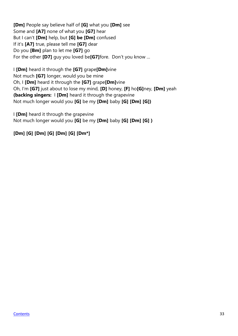**[Dm]** People say believe half of **[G]** what you **[Dm]** see Some and **[A7]** none of what you **[G7]** hear But I can't **[Dm]** help, but **[G] be [Dm]** confused If it's **[A7]** true, please tell me **[G7]** dear Do you **[Bm]** plan to let me **[G7]** go For the other **[D7]** guy you loved be**[G7]**fore. Don't you know …

I **[Dm]** heard it through the **[G7]** grape**[Dm]**vine Not much **[G7]** longer, would you be mine Oh, I **[Dm]** heard it through the **[G7]** grape**[Dm]**vine Oh, I'm **[G7]** just about to lose my mind, **[D]** honey, **[F]** ho**[G]**ney, **[Dm]** yeah **(backing singers:** I **[Dm]** heard it through the grapevine Not much longer would you **[G]** be my **[Dm]** baby **[G] [Dm] [G])**

I **[Dm]** heard it through the grapevine Not much longer would you **[G]** be my **[Dm]** baby **[G] [Dm] [G] )**

**[Dm] [G] [Dm] [G] [Dm] [G] [Dm\*]** 

#### <u>[Contents](#page-1-0)</u> 33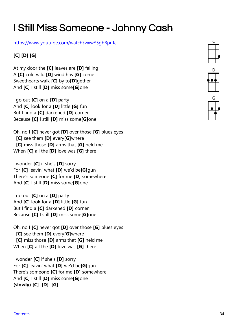## <span id="page-33-0"></span>I Still Miss Someone - Johnny Cash

<https://www.youtube.com/watch?v=wY5ghBprlfc>

### **[C] [D] [G]**

At my door the **[C]** leaves are **[D]** falling A **[C]** cold wild **[D]** wind has **[G]** come Sweethearts walk **[C]** by to**[D]**gether And **[C]** I still **[D]** miss some**[G]**one

I go out **[C]** on a **[D]** party And **[C]** look for a **[D]** little **[G]** fun But I find a **[C]** darkened **[D]** corner Because **[C]** I still **[D]** miss some**[G]**one

Oh, no I **[C]** never got **[D]** over those **[G]** blues eyes I **[C]** see them **[D]** every**[G]**where I **[C]** miss those **[D]** arms that **[G]** held me When **[C]** all the **[D]** love was **[G]** there

I wonder **[C]** if she's **[D]** sorry For **[C]** leavin' what **[D]** we'd be**[G]**gun There's someone **[C]** for me **[D]** somewhere And **[C]** I still **[D]** miss some**[G]**one

I go out **[C]** on a **[D]** party And **[C]** look for a **[D]** little **[G]** fun But I find a **[C]** darkened **[D]** corner Because **[C]** I still **[D]** miss some**[G]**one

Oh, no I **[C]** never got **[D]** over those **[G]** blues eyes I **[C]** see them **[D]** every**[G]**where I **[C]** miss those **[D]** arms that **[G]** held me When **[C]** all the **[D]** love was **[G]** there

I wonder **[C]** if she's **[D]** sorry For **[C]** leavin' what **[D]** we'd be**[G]**gun There's someone **[C]** for me **[D]** somewhere And **[C]** I still **[D]** miss some**[G]**one **(slowly) [C] [D] [G]**

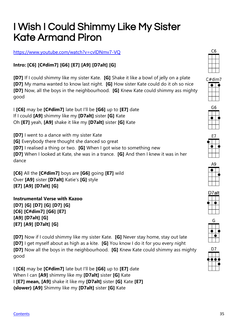### <span id="page-34-0"></span>I Wish I Could Shimmy Like My Sister Kate Armand Piron

<https://www.youtube.com/watch?v=cvlDNmv7-VQ>

### **Intro: [C6] [C#dim7] [G6] [E7] [A9] [D7alt] [G]**

**[D7]** If I could shimmy like my sister Kate. **[G]** Shake it like a bowl of jelly on a plate **[D7]** My mama wanted to know last night. **[G]** How sister Kate could do it oh so nice **[D7]** Now, all the boys in the neighbourhood. **[G]** Knew Kate could shimmy ass mighty good

I **[C6]** may be **[C#dim7]** late but I'll be **[G6]** up to **[E7]** date If I could **[A9]** shimmy like my **[D7alt]** sister **[G]** Kate Oh **[E7]** yeah, **[A9]** shake it like my **[D7alt]** sister **[G]** Kate

**[D7]** I went to a dance with my sister Kate **[G]** Everybody there thought she danced so great **[D7]** I realised a thing or two. **[G]** When I got wise to something new **[D7]** When I looked at Kate, she was in a trance. **[G]** And then I knew it was in her dance

**[C6]** All the **[C#dim7]** boys are **[G6]** going **[E7]** wild Over **[A9]** sister **[D7alt]** Katie's **[G]** style **[E7] [A9] [D7alt] [G]**

**Instrumental Verse with Kazoo [D7] [G] [D7] [G] [D7] [G] [C6] [C#dim7] [G6] [E7] [A9] [D7alt] [G] [E7] [A9] [D7alt] [G]**

**[D7]** Now if I could shimmy like my sister Kate. **[G]** Never stay home, stay out late **[D7]** I get myself about as high as a kite. **[G]** You know I do it for you every night **[D7]** Now all the boys in the neighbourhood. **[G]** Knew Kate could shimmy ass mighty good

I **[C6]** may be **[C#dim7]** late but I'll be **[G6]** up to **[E7]** date When I can **[A9]** shimmy like my **[D7alt]** sister **[G]** Kate I **[E7] mean, [A9]** shake it like my **[D7alt]** sister **[G]** Kate **[E7] (slower) [A9]** Shimmy like my **[D7alt]** sister **[G]** Kate















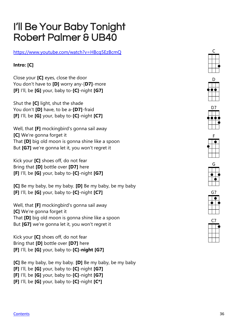### <span id="page-35-0"></span>I'll Be Your Baby Tonight Robert Palmer & UB40

<https://www.youtube.com/watch?v=HBcq5EzBcmQ>

#### **Intro: [C]**

Close your **[C]** eyes, close the door You don't have to **[D]** worry any-[**D7]**-more **[F]** I'll, be **[G]** your, baby to-**[C]**-night **[G7]**

Shut the **[C]** light, shut the shade You don't **[D]** have, to be a-**[D7]**-fraid **[F]** I'll, be **[G]** your, baby to-**[C]**-night **[C7]**

Well, that **[F]** mockingbird's gonna sail away **[C]** We're gonna forget it That **[D]** big old moon is gonna shine like a spoon But **[G7]** we're gonna let it, you won't regret it

Kick your **[C]** shoes off, do not fear Bring that **[D]** bottle over **[D7]** here **[F]** I'll, be **[G]** your, baby to-**[C]**-night **[G7]**

**[C]** Be my baby, be my baby. **[D]** Be my baby, be my baby **[F]** I'll, be **[G]** your, baby to-**[C]**-night **[C7]**

Well, that **[F]** mockingbird's gonna sail away **[C]** We're gonna forget it That **[D]** big old moon is gonna shine like a spoon But **[G7]** we're gonna let it, you won't regret it

Kick your **[C]** shoes off, do not fear Bring that **[D]** bottle over **[D7]** here **[F]** I'll, be **[G]** your, baby to-**[C]-night [G7]**

**[C]** Be my baby, be my baby. **[D]** Be my baby, be my baby **[F]** I'll, be **[G]** your, baby to-**[C]**-night **[G7] [F]** I'll, be **[G]** your, baby to-**[C]**-night **[G7] [F]** I'll, be **[G]** your, baby to-**[C]**-night **[C\*]**



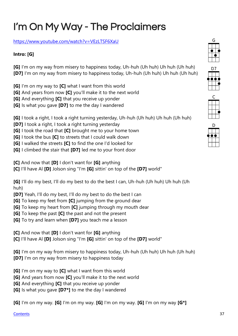# I'm On My Way - The Proclaimers

<https://www.youtube.com/watch?v=VEzLTSF6XaU>

## **Intro: [G]**

**[G]** I'm on my way from misery to happiness today, Uh-huh (Uh huh) Uh huh (Uh huh) **[D7]** I'm on my way from misery to happiness today, Uh-huh (Uh huh) Uh huh (Uh huh)

- **[G]** I'm on my way to **[C]** what I want from this world
- **[G]** And years from now **[C]** you'll make it to the next world
- **[G]** And everything **[C]** that you receive up yonder
- **[G]** Is what you gave **[D7]** to me the day I wandered
- **[G]** I took a right, I took a right turning yesterday, Uh-huh (Uh huh) Uh huh (Uh huh)
- **[D7]** I took a right, I took a right turning yesterday
- **[G]** I took the road that **[C]** brought me to your home town
- **[G]** I took the bus **[C]** to streets that I could walk down
- **[G]** I walked the streets **[C]** to find the one I'd looked for
- **[G]** I climbed the stair that **[D7]** led me to your front door
- **[C]** And now that **[D]** I don't want for **[G]** anything
- **[C]** I'll have Al **[D]** Jolson sing "I'm **[G]** sittin' on top of the **[D7]** world"

**[G]** I'll do my best, I'll do my best to do the best I can, Uh-huh (Uh huh) Uh huh (Uh huh)

- **[D7]** Yeah, I'll do my best, I'll do my best to do the best I can
- **[G]** To keep my feet from **[C]** jumping from the ground dear
- **[G]** To keep my heart from **[C]** jumping through my mouth dear
- **[G]** To keep the past **[C]** the past and not the present
- **[G]** To try and learn when **[D7]** you teach me a lesson
- **[C]** And now that **[D]** I don't want for **[G]** anything
- **[C]** I'll have Al **[D]** Jolson sing "I'm **[G]** sittin' on top of the **[D7]** world"

**[G]** I'm on my way from misery to happiness today, Uh-huh (Uh huh) Uh huh (Uh huh) **[D7]** I'm on my way from misery to happiness today

- **[G]** I'm on my way to **[C]** what I want from this world
- **[G]** And years from now **[C]** you'll make it to the next world
- **[G]** And everything **[C]** that you receive up yonder
- **[G]** Is what you gave **[D7\*]** to me the day I wandered

**[G]** I'm on my way. **[G]** I'm on my way. **[G]** I'm on my way. **[G]** I'm on my way **[G\*]**





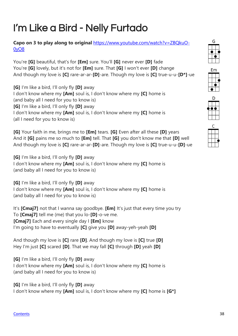# I'm Like a Bird - Nelly Furtado

**Capo on 3 to play along to original** [https://www.youtube.com/watch?v=ZBQkuO-](https://www.youtube.com/watch?v=ZBQkuO-0yO8)[0yO8](https://www.youtube.com/watch?v=ZBQkuO-0yO8)

You're **[G]** beautiful, that's for **[Em]** sure. You'll **[G]** never ever **[D]** fade You're **[G]** lovely, but it's not for **[Em]** sure. That **[G]** I won't ever **[D]** change And though my love is **[C]** rare-ar-ar-**[D]**-are. Though my love is **[C]** true-u-u-**[D\*]**-ue

**[G]** I'm like a bird, I'll only fly **[D]** away I don't know where my **[Am]** soul is, I don't know where my **[C]** home is (and baby all I need for you to know is) **[G]** I'm like a bird, I'll only fly **[D]** away I don't know where my **[Am]** soul is, I don't know where my **[C]** home is (all I need for you to know is)

**[G]** Your faith in me, brings me to **[Em]** tears. **[G]** Even after all these **[D]** years And it **[G]** pains me so much to **[Em]** tell. That **[G]** you don't know me that **[D]** well And though my love is **[C]** rare-ar-ar-**[D]**-are. Though my love is **[C]** true-u-u-**[D]**-ue

**[G]** I'm like a bird, I'll only fly **[D]** away I don't know where my **[Am]** soul is, I don't know where my **[C]** home is (and baby all I need for you to know is)

**[G]** I'm like a bird, I'll only fly **[D]** away I don't know where my **[Am]** soul is, I don't know where my **[C]** home is (and baby all I need for you to know is)

It's **[Cmaj7]** not that I wanna say goodbye. **[Em]** It's just that every time you try To **[Cmaj7]** tell me (me) that you lo-**[D]**-o-ve me. **[Cmaj7]** Each and every single day I **[Em]** know I'm going to have to eventually **[C]** give you **[D]** away-yeh-yeah **[D]**

And though my love is **[C]** rare **[D]**. And though my love is **[C]** true **[D]** Hey I'm just **[C]** scared **[D]**. That we may fall **[C]** through **[D]** yeah **[D]**

**[G]** I'm like a bird, I'll only fly **[D]** away I don't know where my **[Am]** soul is, I don't know where my **[C]** home is (and baby all I need for you to know is)

**[G]** I'm like a bird, I'll only fly **[D]** away I don't know where my **[Am]** soul is, I don't know where my **[C]** home is **[G\*]**





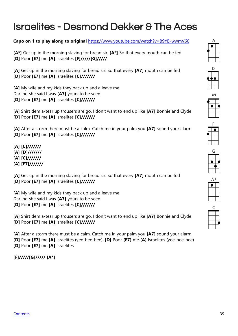## Israelites - Desmond Dekker & The Aces

### **Capo on 1 to play along to original** <https://www.youtube.com/watch?v=B9YB-wwmV60>

**[A\*]** Get up in the morning slaving for bread sir. **[A\*]** So that every mouth can be fed **[D]** Poor **[E7]** me **[A]** Israelites **[F]/////[G]/////**

**[A]** Get up in the morning slaving for bread sir. So that every **[A7]** mouth can be fed **[D]** Poor **[E7]** me **[A]** Israelites **[C]///////**

**[A]** My wife and my kids they pack up and a leave me Darling she said I was **[A7]** yours to be seen **[D]** Poor **[E7]** me **[A]** Israelites **[C]///////**

**[A]** Shirt dem a-tear up trousers are go. I don't want to end up like **[A7]** Bonnie and Clyde **[D]** Poor **[E7]** me **[A]** Israelites **[C]///////**

**[A]** After a storm there must be a calm. Catch me in your palm you **[A7]** sound your alarm **[D]** Poor **[E7]** me **[A]** Israelites **[C]///////**

**[A] [C]/////// [A] [D]/////// [A] [C]/////// [A] [E7]///////**

**[A]** Get up in the morning slaving for bread sir. So that every **[A7]** mouth can be fed **[D]** Poor **[E7]** me **[A]** Israelites **[C]///////**

**[A]** My wife and my kids they pack up and a leave me Darling she said I was **[A7]** yours to be seen **[D]** Poor **[E7]** me **[A]** Israelites **[C]///////**

**[A]** Shirt dem a-tear up trousers are go. I don't want to end up like **[A7]** Bonnie and Clyde **[D]** Poor **[E7]** me **[A]** Israelites **[C]///////**

**[A]** After a storm there must be a calm. Catch me in your palm you **[A7]** sound your alarm **[D]** Poor **[E7]** me **[A]** Israelites (yee-hee-hee). **[D]** Poor **[E7]** me **[A]** Israelites (yee-hee-hee) **[D]** Poor **[E7]** me **[A]** Israelites

**[F]/////[G]///// [A\*]**













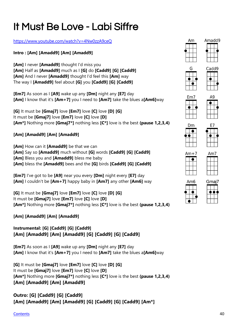## It Must Be Love - Labi Siffre

<https://www.youtube.com/watch?v=4Nw0zzA9ceQ>

### **Intro : [Am] [Amadd9] [Am] [Amadd9]**

**[Am]** I never **[Amadd9]** thought I'd miss you **[Am]** Half as **[Amadd9]** much as I **[G]** do **[Cadd9] [G] [Cadd9] [Am]** And I never **[Amadd9]** thought I'd feel this **[Am]** way The way I **[Amadd9]** feel about **[G]** you **[Cadd9] [G] [Cadd9]** 

**[Em7]** As soon as I **[A9]** wake up any **[Dm]** night any **[E7]** day **[Am]** I know that it's **[Am+7]** you I need to **[Am7]** take the blues a**[Am6]**way

**[G]** It must be **[Gmaj7]** love **[Em7]** love **[C]** love **[D] [G]**  It must be **[Gmaj7]** love **[Em7]** love **[C]** love **[D] [Am\*]** Nothing more **[Gmaj7\*]** nothing less **[C\*]** love is the best **(pause 1,2,3,4)** 

### **[Am] [Amadd9] [Am] [Amadd9]**

**[Am]** How can it **[Amadd9]** be that we can **[Am]** Say so **[Amadd9]** much without **[G]** words **[Cadd9] [G] [Cadd9] [Am]** Bless you and **[Amadd9]** bless me baby **[Am]** bless the **[Amadd9]** bees and the **[G]** birds **[Cadd9] [G] [Cadd9]** 

**[Em7]** I've got to be **[A9]** near you every **[Dm]** night every **[E7]** day **[Am]** I couldn't be **[Am+7]** happy baby in **[Am7]** any other **[Am6]** way

**[G]** It must be **[Gmaj7]** love **[Em7]** love **[C]** love **[D] [G]**  It must be **[Gmaj7]** love **[Em7]** love **[C]** love **[D] [Am\*]** Nothing more **[Gmaj7\*]** nothing less **[C\*]** love is the best **(pause 1,2,3,4)** 

#### **[Am] [Amadd9] [Am] [Amadd9]**

### **Instrumental: [G] [Cadd9] [G] [Cadd9] [Am] [Amadd9] [Am] [Amadd9] [G] [Cadd9] [G] [Cadd9]**

**[Em7]** As soon as I **[A9]** wake up any **[Dm]** night any **[E7]** day **[Am]** I know that it's **[Am+7]** you I need to **[Am7]** take the blues a**[Am6]**way

**[G]** It must be **[Gmaj7]** love **[Em7]** love **[C]** love **[D] [G]**  It must be **[Gmaj7]** love **[Em7]** love **[C]** love **[D] [Am\*]** Nothing more **[Gmaj7\*]** nothing less **[C\*]** love is the best **(pause 1,2,3,4) [Am] [Amadd9] [Am] [Amadd9]** 

## **Outro: [G] [Cadd9] [G] [Cadd9] [Am] [Amadd9] [Am] [Amadd9] [G] [Cadd9] [G] [Cadd9] [Am\*]**





Amadd9



 $Fm7$ 





Am+7

|  | Am7  |  |
|--|------|--|
|  |      |  |
|  |      |  |
|  |      |  |
|  |      |  |
|  | Gmaj |  |

| Am6 |  | Gm |  |
|-----|--|----|--|
|     |  |    |  |
|     |  |    |  |
|     |  |    |  |
|     |  |    |  |

[Contents](#page-1-0) 40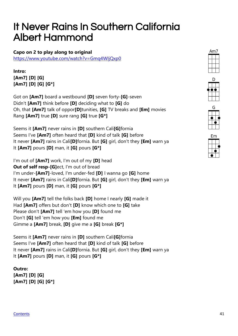## It Never Rains In Southern California Albert Hammond

### **Capo on 2 to play along to original**

<https://www.youtube.com/watch?v=Gmq4WIjQxp0>

**Intro: [Am7] [D] [G] [Am7] [D] [G] [G\*]**

Got on **[Am7]** board a westbound **[D]** seven forty-**[G]**-seven Didn't **[Am7]** think before **[D]** deciding what to **[G]** do Oh, that **[Am7]** talk of oppor**[D]**tunities, **[G]** TV breaks and **[Em]** movies Rang **[Am7]** true **[D]** sure rang **[G]** true **[G\*]**

Seems it **[Am7]** never rains in **[D]** southern Cali**[G]**fornia Seems I've **[Am7]** often heard that **[D]** kind of talk **[G]** before It never **[Am7]** rains in Cali**[D]**fornia. But **[G]** girl, don't they **[Em]** warn ya It **[Am7]** pours **[D]** man, it **[G]** pours **[G\*]**

I'm out of **[Am7]** work, I'm out of my **[D]** head **Out of self resp-[G]**ect, I'm out of bread I'm under-**[Am7]**-loved, I'm under-fed **[D]** I wanna go **[G]** home It never **[Am7]** rains in Cali**[D]**fornia. But **[G]** girl, don't they **[Em]** warn ya It **[Am7]** pours **[D]** man, it **[G]** pours **[G\*]**

Will you **[Am7]** tell the folks back **[D]** home I nearly **[G]** made it Had **[Am7]** offers but don't **[D]** know which one to **[G]** take Please don't **[Am7]** tell 'em how you **[D]** found me Don't **[G]** tell 'em how you **[Em]** found me Gimme a **[Am7]** break, **[D]** give me a **[G]** break **[G\*]**

Seems it **[Am7]** never rains in **[D]** southern Cali**[G]**fornia Seems I've **[Am7]** often heard that **[D]** kind of talk **[G]** before It never **[Am7]** rains in Cali**[D]**fornia. But **[G]** girl, don't they **[Em]** warn ya It **[Am7]** pours **[D]** man, it **[G]** pours **[G\*]**

**Outro: [Am7] [D] [G] [Am7] [D] [G] [G\*]**





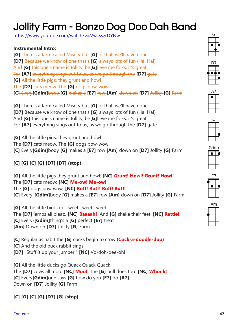## Jollity Farm - Bonzo Dog Doo Dah Band

<https://www.youtube.com/watch?v=VwksszrDYNw>

**Instrumental Intro: [G]** There's a farm called Misery but **[G]** of that, we'll have none **[D7]** Because we know of one that's **[G]** always lots of fun (Ha! Ha!) And **[G]** this one's name is Jollity, be**[G]**lieve me folks, it's great For **[A7]** everything sings out to us, as we go through the **[D7]** gate **[G]** All the little pigs, they grunt and howl The **[D7]** cats meow. The **[G]** dogs bow-wow **[C]** Every**[Gdim]**body **[G]** makes a **[E7]** row **[Am]** down on **[D7]** Jollity **[G]** Farm

**[G]** There's a farm called Misery but **[G]** of that, we'll have none **[D7]** Because we know of one that's **[G]** always lots of fun (Ha! Ha!) And **[G]** this one's name is Jollity, be**[G]**lieve me folks, it's great For **[A7]** everything sings out to us, as we go through the **[D7]** gate

**[G]** All the little pigs, they grunt and howl The **[D7]** cats meow. The **[G]** dogs bow-wow **[C]** Every**[Gdim]**body **[G]** makes a **[E7]** row **[Am]** down on **[D7]** Jollity **[G]** Farm

## **[C] [G] [C] [G] [D7] [D7] {stop}**

**[G]** All the little pigs they grunt and howl: **[NC] Grunt! Howl! Grunt! Howl!** The **[D7]** cats meow: **[NC] Me-ow! Me-ow!** The **[G]** dogs bow wow: **[NC] Ruff! Ruff! Ruff! Ruff! [C]** Every-**[Gdim]**body **[G]** makes a **[E7]** row **[Am]** down on **[D7]** Jollity **[G]** Farm

**[G]** All the little birds go Tweet Tweet Tweet The **[D7]** lambs all bleat:, **[NC] Baaaah!** And **[G]** shake their feet: **[NC] Rattle! [C]** Every-**[Gdim]**thing's a **[G]** perfect **[E7]** treat **[Am]** Down on **[D7]** Jollity **[G]** Farm

**[C]** Regular as habit the **[G]** cocks begin to crow **(Cock-a-doodle-doo) [C]** And the old buck rabbit sings **[D7]** "Stuff it up your jumper!" **[NC]** Vo-doh-dee-oh!

**[G]** All the little ducks go Quack Quack Quack The **[D7]** cows all moo: **[NC] Moo!** The **[G]** bull does too: **[NC] Whonk! [C]** Every**[Gdim]**one says **[G]** how do you **[E7]** do **[A7]**  Down on **[D7]** Jollity **[G]** Farm

## **[C] [G] [C] [G] [D7] [G] {stop}**













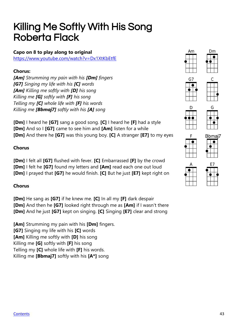## Killing Me Softly With His Song Roberta Flack

### **Capo on 8 to play along to original**

<https://www.youtube.com/watch?v=Dx1XtKbEtfE>

## **Chorus:**

*[Am] Strumming my pain with his [Dm] fingers [G7] Singing my life with his [C] words [Am] Killing me softly with [D] his song Killing me [G] softly with [F] his song Telling my [C] whole life with [F] his words Killing me [Bbmaj7] softly with his [A] song*

**[Dm]** I heard he **[G7]** sang a good song. **[C]** I heard he **[F]** had a style **[Dm]** And so I **[G7]** came to see him and **[Am]** listen for a while **[Dm]** And there he **[G7]** was this young boy. **[C]** A stranger **[E7]** to my eyes

### **Chorus**

**[Dm]** I felt all **[G7]** flushed with fever. **[C]** Embarrassed **[F]** by the crowd **[Dm]** I felt he **[G7]** found my letters and **[Am]** read each one out loud **[Dm]** I prayed that **[G7]** he would finish. **[C]** But he just **[E7]** kept right on

## **Chorus**

**[Dm]** He sang as **[G7]** if he knew me. **[C]** In all my **[F]** dark despair **[Dm]** And then he **[G7]** looked right through me as **[Am]** if I wasn't there **[Dm]** And he just **[G7]** kept on singing. **[C]** Singing **[E7]** clear and strong

**[Am]** Strumming my pain with his **[Dm]** fingers. **[G7]** Singing my life with his **[C]** words **[Am]** Killing me softly with **[D]** his song Killing me **[G]** softly with **[F]** his song Telling my **[C]** whole life with **[F]** his words. Killing me **[Bbmaj7]** softly with his **[A\*]** song





D





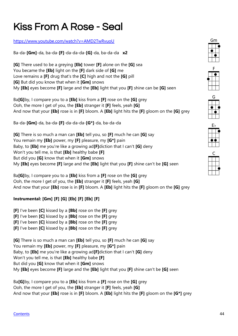## Kiss From A Rose - Seal

<https://www.youtube.com/watch?v=AMD2TwRvuoU>

Ba-da-**[Gm]**-da, ba-da-**[F]**-da-da-da-**[G]**-da, ba-da-da **x2**

**[G]** There used to be a greying **[Eb]** tower **[F]** alone on the **[G]** sea You became the **[Eb]** light on the **[F]** dark side of **[G]** me Love remains a **[F]** drug that's the **[C]** high and not the **[G]** pill **[G]** But did you know that when it **[Gm]** snows My **[Eb]** eyes become **[F]** large and the **[Eb]** light that you **[F]** shine can be **[G]** seen

Ba**[G]**by, I compare you to a **[Eb]** kiss from a **[F]** rose on the **[G]** grey Ooh, the more I get of you, the **[Eb]** stranger it **[F]** feels, yeah **[G]** And now that your **[Eb]** rose is in **[F]** bloom. A **[Eb]** light hits the **[F]** gloom on the **[G]** grey

Ba-da-**[Gm]**-da, ba-da-**[F]**-da-da-da-**[G\*]**-da, ba-da-da

**[G]** There is so much a man can **[Eb]** tell you, so **[F]** much he can **[G]** say You remain my **[Eb]** power, my **[F]** pleasure, my **[G\*]** pain Baby, to **[Eb]** me you're like a growing ad**[F]**diction that I can't **[G]** deny Won't you tell me, is that **[Eb]** healthy babe **[F]** But did you **[G]** know that when it **[Gm]** snows My **[Eb]** eyes become **[F]** large and the **[Eb]** light that you **[F]** shine can't be **[G]** seen

Ba**[G]**by, I compare you to a **[Eb]** kiss from a **[F]** rose on the **[G]** grey Ooh, the more I get of you, the **[Eb]** stranger it **[F]** feels, yeah **[G]** And now that your **[Eb]** rose is in **[F]** bloom. A **[Eb]** light hits the **[F]** gloom on the **[G]** grey

### **Instrumental: [Gm] [F] [G] [Eb] [F] [Eb] [F]**

**[F]** I've been **[C]** kissed by a **[Bb]** rose on the **[F]** grey **[F]** I've been **[C]** kissed by a **[Bb]** rose on the **[F]** grey **[F]** I've been **[C]** kissed by a **[Bb]** rose on the **[F]** grey **[F]** I've been **[C]** kissed by a **[Bb]** rose on the **[F]** grey

**[G]** There is so much a man can **[Eb]** tell you, so **[F]** much he can **[G]** say You remain my **[Eb]** power, my **[F]** pleasure, my **[G\*]** pain Baby, to **[Eb]** me you're like a growing ad**[F]**diction that I can't **[G]** deny Won't you tell me, is that **[Eb]** healthy babe **[F]** But did you **[G]** know that when it **[Gm]** snows My **[Eb]** eyes become **[F]** large and the **[Eb]** light that you **[F]** shine can't be **[G]** seen

Ba**[G]**by, I compare you to a **[Eb]** kiss from a **[F]** rose on the **[G]** grey Ooh, the more I get of you, the **[Eb]** stranger it **[F]** feels, yeah **[G]** And now that your **[Eb]** rose is in **[F]** bloom. A **[Eb]** light hits the **[F]** gloom on the **[G\*]** grey









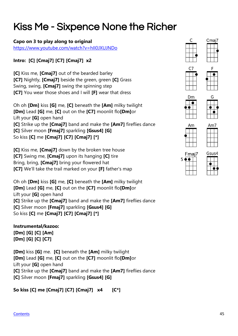## Kiss Me - Sixpence None the Richer

**Capo on 3 to play along to original**  <https://www.youtube.com/watch?v=hII0JXUJNDo>

## **Intro: [C] [Cmaj7] [C7] [Cmaj7] x2**

**[C]** Kiss me, **[Cmaj7]** out of the bearded barley **[C7]** Nightly, **[Cmaj7]** beside the green, green **[C]** Grass Swing, swing, **[Cmaj7]** swing the spinning step **[C7]** You wear those shoes and I will **[F]** wear that dress

Oh oh **[Dm]** kiss **[G]** me, **[C]** beneath the **[Am]** milky twilight **[Dm]** Lead **[G]** me, **[C]** out on the **[C7]** moonlit flo**[Dm]**or Lift your **[G]** open hand **[C]** Strike up the **[Cmaj7]** band and make the **[Am7]** fireflies dance **[C]** Silver moon **[Fmaj7]** sparkling **[Gsus4] [G]** So kiss **[C]** me **[Cmaj7] [C7] [Cmaj7] [\*]**

**[C]** Kiss me, **[Cmaj7]** down by the broken tree house **[C7]** Swing me, **[Cmaj7]** upon its hanging **[C]** tire Bring, bring, **[Cmaj7]** bring your flowered hat **[C7]** We'll take the trail marked on your **[F]** father's map

Oh oh **[Dm]** kiss **[G]** me, **[C]** beneath the **[Am]** milky twilight **[Dm]** Lead **[G]** me, **[C]** out on the **[C7]** moonlit flo**[Dm]**or Lift your **[G]** open hand **[C]** Strike up the **[Cmaj7]** band and make the **[Am7]** fireflies dance **[C]** Silver moon **[Fmaj7]** sparkling **[Gsus4] [G]** So kiss **[C]** me **[Cmaj7] [C7] [Cmaj7] [\*]**

#### **Instrumental/kazoo: [Dm] [G] [C] [Am]**

**[Dm] [G] [C] [C7]**

**[Dm]** kiss **[G]** me. **[C]** beneath the **[Am]** milky twilight **[Dm]** Lead **[G]** me, **[C]** out on the **[C7]** moonlit flo**[Dm]**or Lift your **[G]** open hand **[C]** Strike up the **[Cmaj7]** band and make the **[Am7]** fireflies dance **[C]** Silver moon **[Fmaj7]** sparkling **[Gsus4] [G]**

**So kiss [C] me [Cmaj7] [C7] [Cmaj7] x4 [C\*]**







Am7



|  | Fmaj7 |  | Gsus4 |  |
|--|-------|--|-------|--|
|  |       |  |       |  |
|  |       |  |       |  |
|  |       |  |       |  |
|  |       |  |       |  |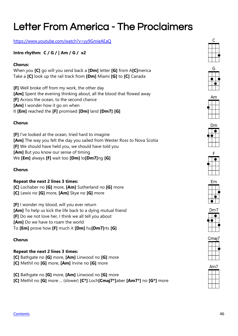## Letter From America - The Proclaimers

<https://www.youtube.com/watch?v=yy9GmieAEaQ>

### **Intro rhythm: C / G / | Am / G / x2**

#### **Chorus:**

When you **[C]** go will you send back a **[Dm]** letter **[G]** from A**[C]**merica Take a **[C]** look up the rail track from **[Dm]** Miami **[G]** to **[C]** Canada

**[F]** Well broke off from my work, the other day **[Am]** Spent the evening thinking about, all the blood that flowed away **[F]** Across the ocean, to the second chance **[Am]** I wonder how it go on when It **[Em]** reached the **[F]** promised **[Dm]** land **[Dm7] [G]**

#### **Chorus**

**[F]** I've looked at the ocean, tried hard to imagine **[Am]** The way you felt the day you sailed from Wester Ross to Nova Scotia **[F]** We should have held you, we should have told you **[Am]** But you know our sense of timing We **[Em]** always **[F]** wait too **[Dm]** lo**[Dm7]**ng **[G]**

#### **Chorus**

#### **Repeat the next 2 lines 3 times:**

**[C]** Lochaber no **[G]** more, **[Am]** Sutherland no **[G]** more **[C]** Lewis no **[G]** more, **[Am]** Skye no **[G]** more

**[F]** I wonder my blood, will you ever return **[Am]** To help us kick the life back to a dying mutual friend **[F]** Do we not love her, I think we all tell you about **[Am]** Do we have to roam the world To **[Em]** prove how **[F]** much it **[Dm]** hu**[Dm7]**rts **[G]**

#### **Chorus**

**Repeat the next 2 lines 3 times: [C]** Bathgate no **[G]** more, **[Am]** Linwood no **[G]** more **[C]** Methil no **[G]** more, **[Am]** Irvine no **[G]** more

**[C]** Bathgate no **[G]** more, **[Am]** Linwood no **[G]** more **[C]** Methil no **[G]** more ... (slower) **[C\*]** Loch**[Cmaj7\*]**aber **[Am7\*]** no **[G\*]** more













| ma |  |
|----|--|
|    |  |
|    |  |
|    |  |
|    |  |

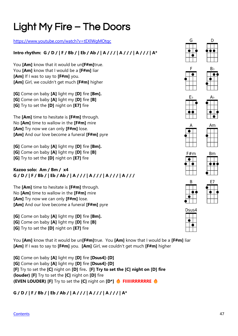# Light My Fire – The Doors

### <https://www.youtube.com/watch?v=tEXlWgMOtqc>

## **Intro rhythm: G / D / | F / Bb / | Eb / Ab / | A / / / | A / / / | A / / / | A\***

You **[Am]** know that it would be un**[F#m]**true. You **[Am]** know that I would be a **[F#m]** liar **[Am]** If I was to say to **[F#m]** you. **[Am]** Girl, we couldn't get much **[F#m]** higher

**[G]** Come on baby **[A]** light my **[D]** fire **[Bm]. [G]** Come on baby **[A]** light my **[D]** fire **[B] [G]** Try to set the **[D]** night on **[E7]** fire

The **[Am]** time to hesitate is **[F#m]** through. No **[Am]** time to wallow in the **[F#m]** mire **[Am]** Try now we can only **[F#m]** lose. **[Am]** And our love become a funeral **[F#m]** pyre

**[G]** Come on baby **[A]** light my **[D]** fire **[Bm]. [G]** Come on baby **[A]** light my **[D]** fire **[B] [G]** Try to set the **[D]** night on **[E7]** fire

### **Kazoo solo: Am / Bm / x4 G / D / | F / Bb / | Eb / Ab / | A / / / | A / / / | A / / / | A / / /**

The **[Am]** time to hesitate is **[F#m]** through. No **[Am]** time to wallow in the **[F#m]** mire **[Am]** Try now we can only **[F#m]** lose. **[Am]** And our love become a funeral **[F#m]** pyre

**[G]** Come on baby **[A]** light my **[D]** fire **[Bm]. [G]** Come on baby **[A]** light my **[D]** fire **[B] [G]** Try to set the **[D]** night on **[E7]** fire

You **[Am]** know that it would be un**[F#m]**true. You **[Am]** know that I would be a **[F#m]** liar **[Am]** If I was to say to **[F#m]** you. **[Am]** Girl, we couldn't get much **[F#m]** higher

**[G]** Come on baby **[A]** light my **[D]** fire **[Dsus4]-[D] [G]** Come on baby **[A]** light my **[D]** fire **[Dsus4]-[D] [F]** Try to set the **[C]** night on **[D]** fire**. [F] Try to set the [C] night on [D] fire (louder) [F]** Try to set the **[C]** night on **[D]** fire **(EVEN LOUDER) [F]** Try to set the **[C]** night on **[D\*] FIIIIIRRRRRRE**

**G / D / | F / Bb / | Eb / Ab / | A / / / | A / / / | A / / / | A\*** 







 $F#m$ 

R

|  | Вm |  |
|--|----|--|
|  |    |  |
|  |    |  |
|  |    |  |
|  |    |  |

| ς<br>ч |  |  |  |  |
|--------|--|--|--|--|
|        |  |  |  |  |
|        |  |  |  |  |
|        |  |  |  |  |
|        |  |  |  |  |

| u | s4 |  |
|---|----|--|
|   |    |  |
|   |    |  |
|   |    |  |
|   |    |  |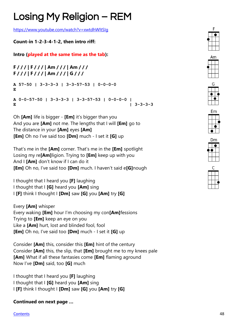## Losing My Religion – REM

<https://www.youtube.com/watch?v=xwtdhWltSIg>

**Count-in 1-2-3-4-1-2, then intro riff:**

**Intro (played at the same time as the tab):**

**F / / / | F / / / | Am / / / | Am / / / F / / / | F / / / | Am / / / | G / / / A 57-50 | 3-3-3-3 | 3-3-57-53 | 0-0-0-0**

**E** 

**A 0-0-57-50 | 3-3-3-3 | 3-3-57-53 | 0-0-0-0 | E**  $\vert$  3-3-3-3

Oh **[Am]** life is bigger - **[Em]** it's bigger than you And you are **[Am]** not me. The lengths that I will **[Em]** go to The distance in your **[Am]** eyes **[Am] [Em]** Oh no I've said too **[Dm]** much - I set it **[G]** up

That's me in the **[Am]** corner. That's me in the **[Em]** spotlight Losing my re**[Am]**ligion. Trying to **[Em]** keep up with you And I **[Am]** don't know if I can do it **[Em]** Oh no, I've said too **[Dm]** much. I haven't said e**[G]**nough

I thought that I heard you **[F]** laughing I thought that I **[G]** heard you **[Am]** sing I **[F]** think I thought I **[Dm]** saw **[G]** you **[Am]** try **[G]**

Every **[Am]** whisper Every waking **[Em]** hour I'm choosing my con**[Am]**fessions Trying to **[Em]** keep an eye on you Like a **[Am]** hurt, lost and blinded fool, fool **[Em]** Oh no, I've said too **[Dm]** much - I set it **[G]** up

Consider **[Am]** this, consider this **[Em]** hint of the century Consider **[Am]** this, the slip, that **[Em]** brought me to my knees pale **[Am]** What if all these fantasies come **[Em]** flaming aground Now I've **[Dm]** said, too **[G]** much

I thought that I heard you **[F]** laughing I thought that I **[G]** heard you **[Am]** sing I **[F]** think I thought I **[Dm]** saw **[G]** you **[Am]** try **[G]**

### **Continued on next page …**

[Contents](#page-1-0) 48











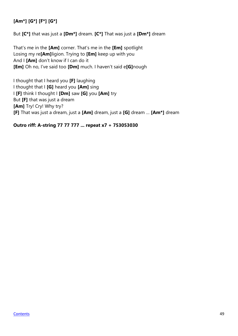## **[Am\*] [G\*] [F\*] [G\*]**

But **[C\*]** that was just a **[Dm\*]** dream. **[C\*]** That was just a **[Dm\*]** dream

That's me in the **[Am]** corner. That's me in the **[Em]** spotlight Losing my re**[Am]**ligion. Trying to **[Em]** keep up with you And I **[Am]** don't know if I can do it **[Em]** Oh no, I've said too **[Dm]** much. I haven't said e**[G]**nough

I thought that I heard you **[F]** laughing I thought that I **[G]** heard you **[Am]** sing I **[F]** think I thought I **[Dm]** saw **[G]** you **[Am]** try But **[F]** that was just a dream **[Am]** Try! Cry! Why try? **[F]** That was just a dream, just a **[Am]** dream, just a **[G]** dream … **[Am\*]** dream

#### **Outro riff: A-string 77 77 777 ... repeat x7 + 753053030**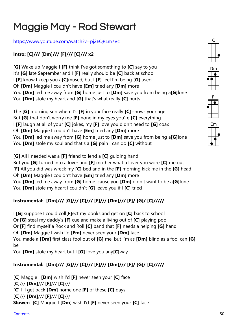# Maggie May - Rod Stewart

<https://www.youtube.com/watch?v=pj2EQRLm7Vc>

## **Intro: [C]/// [Dm]/// [F]/// [C]/// x2**

**[G]** Wake up Maggie I **[F]** think I've got something to **[C]** say to you It's **[G]** late September and I **[F]** really should be **[C]** back at school I **[F]** know I keep you a**[C]**mused, but I **[F]** feel I'm being **[G]** used Oh **[Dm]** Maggie I couldn't have **[Em]** tried any **[Dm]** more You **[Dm]** led me away from **[G]** home just to **[Dm]** save you from being a**[G]**lone You **[Dm]** stole my heart and **[G]** that's what really **[C]** hurts

The **[G]** morning sun when it's **[F]** in your face really **[C]** shows your age But **[G]** that don't worry me **[F]** none in my eyes you're **[C]** everything I **[F]** laugh at all of your **[C]** jokes, my **[F]** love you didn't need to **[G]** coax Oh **[Dm]** Maggie I couldn't have **[Em]** tried any **[Dm]** more You **[Dm]** led me away from **[G]** home just to **[Dm]** save you from being a**[G]**lone You **[Dm]** stole my soul and that's a **[G]** pain I can do **[C]** without

**[G]** All I needed was a **[F]** friend to lend a **[C]** guiding hand But you **[G]** turned into a lover and **[F]** mother what a lover you wore **[C]** me out **[F]** All you did was wreck my **[C]** bed and in the **[F]** morning kick me in the **[G]** head Oh **[Dm]** Maggie I couldn't have **[Em]** tried any **[Dm]** more You **[Dm]** led me away from **[G]** home 'cause you **[Dm]** didn't want to be a**[G]**lone You **[Dm]** stole my heart I couldn't **[G]** leave you if I **[C]** tried

## **Instrumental: [Dm]/// [G]/// [C]/// [F]/// [Dm]/// [F]/ [G]/ [C]/////**

I **[G]** suppose I could coll**[F]**ect my books and get on **[C]** back to school Or **[G]** steal my daddy's **[F]** cue and make a living out of **[C]** playing pool Or **[F]** find myself a Rock and Roll **[C]** band that **[F]** needs a helping **[G]** hand Oh **[Dm]** Maggie I wish I'd **[Em]** never seen your **[Dm]** face You made a **[Dm]** first class fool out of **[G]** me, but I'm as **[Dm]** blind as a fool can **[G]** be

You **[Dm]** stole my heart but I **[G]** love you any**[C]**way

## **Instrumental: [Dm]/// [G]/// [C]/// [F]/// [Dm]/// [F]/ [G]/ [C]/////**

**[C]** Maggie I **[Dm]** wish I'd **[F]** never seen your **[C]** face **[C]**/// **[Dm]**/// **[F]**/// **[C]**/// **[C]** I'll get back **[Dm]** home one **[F]** of these **[C]** days **[C]**/// **[Dm]**/// **[F]**/// **[C]**/// **Slower: [C]** Maggie I **[Dm]** wish I'd **[F]** never seen your **[C]** face







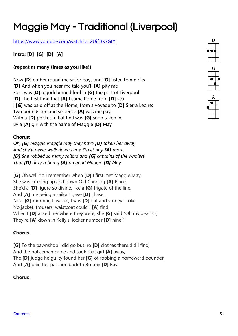# Maggie May - Traditional (Liverpool)

<https://www.youtube.com/watch?v=2Uifj3K7GtY>

## **Intro: [D] [G] [D] [A]**

### **(repeat as many times as you like!)**

Now **[D]** gather round me sailor boys and **[G]** listen to me plea, **[D]** And when you hear me tale you'll **[A]** pity me For I was **[D]** a goddamned fool in **[G]** the port of Liverpool **[D]** The first time that **[A]** I came home from **[D]** sea I **[G]** was paid off at the Home, from a voyage to **[D]** Sierra Leone: Two pounds ten and sixpence **[A]** was me pay. With a **[D]** pocket full of tin I was **[G]** soon taken in By a **[A]** girl with the name of Maggie **[D]** May

#### **Chorus:**

*Oh, [G] Maggie Maggie May they have [D] taken her away And she'll never walk down Lime Street any [A] more. [D] She robbed so many sailors and [G] captains of the whalers That [D] dirty robbing [A] no good Maggie [D] May*

**[G]** Oh well do I remember when **[D]** I first met Maggie May, She was cruising up and down Old Canning **[A]** Place, She'd a **[D]** figure so divine, like a **[G]** frigate of the line, And **[A]** me being a sailor I gave **[D]** chase. Next **[G]** morning I awoke, I was **[D]** flat and stoney broke No jacket, trousers, waistcoat could I **[A]** find. When I **[D]** asked her where they were, she **[G]** said "Oh my dear sir, They're **[A]** down in Kelly's, locker number **[D]** nine!"

### **Chorus**

**[G]** To the pawnshop I did go but no **[D]** clothes there did I find, And the policeman came and took that girl **[A]** away, The **[D]** judge he guilty found her **[G]** of robbing a homeward bounder, And **[A]** paid her passage back to Botany **[D]** Bay

#### **Chorus**



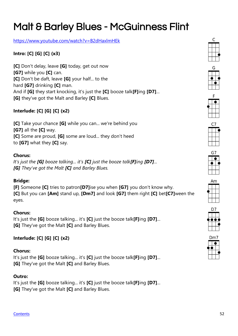## Malt & Barley Blues - McGuinness Flint

### <https://www.youtube.com/watch?v=B2dHaxlmHEk>

## **Intro: [C] [G] [C] (x3)**

**[C]** Don't delay, leave **[G]** today, get out now **[G7]** while you **[C]** can. **[C]** Don't be daft, leave **[G]** your half... to the hard **[G7]** drinking **[C]** man. And if **[G]** they start knocking, it's just the **[C]** booze talk**[F]**ing **[D7]**... **[G]** they've got the Malt and Barley **[C]** Blues.

### **Interlude: [C] [G] [C] (x2)**

**[C]** Take your chance **[G]** while you can... we're behind you **[G7]** all the **[C]** way. **[C]** Some are proud, **[G]** some are loud... they don't heed to **[G7]** what they **[C]** say.

#### **Chorus:**

*It's just the [G] booze talking... it's [C] just the booze talk[F]ing [D7]... [G] They've got the Malt [C] and Barley Blues.*

#### **Bridge:**

**[F]** Someone **[C]** tries to patron**[D7]**ise you when **[G7]** you don't know why. **[C]** But you can **[Am]** stand up, **[Dm7]** and look **[G7]** them right **[C]** bet**[C7]**ween the eyes.

#### **Chorus:**

It's just the **[G]** booze talking... it's **[C]** just the booze talk**[F]**ing **[D7]**... **[G]** They've got the Malt **[C]** and Barley Blues.

### **Interlude: [C] [G] [C] (x2)**

#### **Chorus:**

It's just the **[G]** booze talking... it's **[C]** just the booze talk**[F]**ing **[D7]**... **[G]** They've got the Malt **[C]** and Barley Blues.

#### **Outro:**

It's just the **[G]** booze talking... it's **[C]** just the booze talk**[F]**ing **[D7]**... **[G]** They've got the Malt **[C]** and Barley Blues.













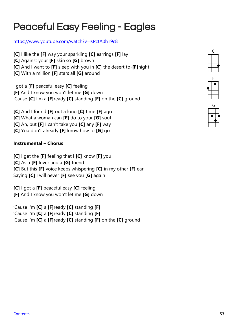## Peaceful Easy Feeling - Eagles

## <https://www.youtube.com/watch?v=KPctA0hT9c8>

**[C]** I like the **[F]** way your sparkling **[C]** earrings **[F]** lay

**[C]** Against your **[F]** skin so **[G]** brown

**[C]** And I want to **[F]** sleep with you in **[C]** the desert to-**[F]**night

**[C]** With a million **[F]** stars all **[G]** around

I got a **[F]** peaceful easy **[C]** feeling **[F]** And I know you won't let me **[G]** down 'Cause **[C]** I'm al**[F]**ready **[C]** standing **[F]** on the **[C]** ground

**[C]** And I found **[F]** out a long **[C]** time **[F]** ago **[C]** What a woman can **[F]** do to your **[G]** soul **[C]** Ah, but **[F]** I can't take you **[C]** any **[F]** way **[C]** You don't already **[F]** know how to **[G]** go

### **Instrumental – Chorus**

**[C]** I get the **[F]** feeling that I **[C]** know **[F]** you **[C]** As a **[F]** lover and a **[G]** friend **[C]** But this **[F]** voice keeps whispering **[C]** in my other **[F]** ear Saying **[C]** I will never **[F]** see you **[G]** again

**[C]** I got a **[F]** peaceful easy **[C]** feeling **[F]** And I know you won't let me **[G]** down

'Cause I'm **[C]** al**[F]**ready **[C]** standing **[F]** 'Cause I'm **[C]** al**[F]**ready **[C]** standing **[F]** 'Cause I'm **[C]** al**[F]**ready **[C]** standing **[F]** on the **[C]** ground

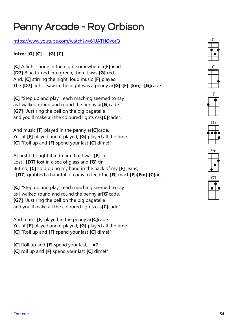## Penny Arcade - Roy Orbison

<https://www.youtube.com/watch?v=61JATHOvorQ>

## **Intro: [G] [C] [G] [C]**

**[C]** A light shone in the night somewhere a**[F]**head **[D7]** Blue turned into green, then it was **[G]** red. And, **[C]** stirring the night, loud music **[F]** played The **[D7]** light I saw in the night was a penny ar**[G]**-**[F]**-**[Em]** -**[G]**cade.

**[C]** "Step up and play", each maching seemed to say as I walked round and round the penny ar**[G]**cade. **[G7]** "Just ring the bell on the big bagatelle and you'll make all the coloured lights cas**[C]**cade".

And music **[F]** played in the penny ar**[C]**cade. Yes, it **[F]** played and it played, **[G]** played all the time **[C]** "Roll up and **[F]** spend your last **[C]** dime!"

At first I thought it a dream that I was **[F]** in. Lost , **[D7]** lost in a sea of glass and **[G]** tin. But no, **[C]** so dipping my hand in the back of my **[F]** jeans, I **[D7]** grabbed a handful of coins to feed the **[G]** mach**[F]**i**[Em] [C]**nes.

**[C]** "Step up and play", each maching seemed to say as I walked round and round the penny ar**[G]**cade. **[G7]** "Just ring the bell on the big bagatelle and you'll make all the coloured lights cas**[C]**cade".

And music **[F]** played in the penny ar**[C]**cade. Yes, it **[F]** played and it played, **[G]** played all the time **[C]** "Roll up and **[F]** spend your last **[C]** dime!"

**[C]** Roll up and **[F]** spend your last, **x2 [C]** roll up and **[F]** spend your last **[C]** dime!"









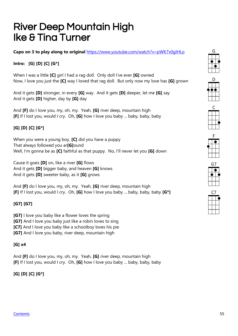## River Deep Mountain High Ike & Tina Turner

**Capo on 3 to play along to original <https://www.youtube.com/watch?v=pWK7v0gIHLo>** 

**Intro: [G] [D] [C] [G\*]**

When I was a little **[C]** girl I had a rag doll. Only doll I've ever **[G]** owned Now, I love you just the **[C]** way I loved that rag doll. But only now my love has **[G]** grown

And it gets **[D]** stronger, in every **[G]** way. And it gets **[D]** deeper, let me **[G]** say And it gets **[D]** higher, day by **[G]** day

And **[F]** do I love you, my, oh, my. Yeah, **[G]** river deep, mountain high **[F]** If I lost you, would I cry. Oh, **[G]** how I love you baby ... baby, baby, baby

### **[G] [D] [C] [G\*]**

When you were a young boy, **[C]** did you have a puppy That always followed you ar**[G]**ound Well, I'm gonna be as **[C]** faithful as that puppy. No, I'll never let you **[G]** down

Cause it goes **[D]** on, like a river **[G]** flows And it gets **[D]** bigger baby, and heaven **[G]** knows And it gets **[D]** sweeter baby, as it **[G]** grows

And **[F]** do I love you, my, oh, my. Yeah, **[G]** river deep, mountain high **[F]** If I lost you, would I cry. Oh, **[G]** how I love you baby ... baby, baby, baby **[G\*]**

#### **[G7] [G7]**

- **[G7]** I love you baby like a flower loves the spring
- **[G7]** And I love you baby just like a robin loves to sing
- **[C7]** And I love you baby like a schoolboy loves his pie
- **[G7]** And I love you baby, river deep, mountain high

#### **[G] x4**

And **[F]** do I love you, my, oh, my. Yeah, **[G]** river deep, mountain high **[F]** If I lost you, would I cry. Oh, **[G]** how I love you baby ... baby, baby, baby

**[G] [D] [C] [G\*]**









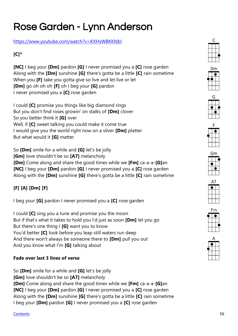## Rose Garden - Lynn Anderson

<https://www.youtube.com/watch?v=KXHsWBKKNbI>

## **[C]\***

**[NC]** I beg your **[Dm]** pardon **[G]** I never promised you a **[C]** rose garden Along with the **[Dm]** sunshine **[G]** there's gotta be a little **[C]** rain sometime When you **[F]** take you gotta give so live and let live or let **[Dm]** go oh oh oh **[F]** oh I beg your **[G]** pardon I never promised you a **[C]** rose garden

I could **[C]** promise you things like big diamond rings But you don't find roses growin' on stalks of **[Dm]** clover So you better think it **[G]** over Well, if **[C]** sweet talking you could make it come true I would give you the world right now on a silver **[Dm]** platter But what would it **[G]** matter

So **[Dm]** smile for a while and **[G]** let's be jolly **[Gm]** love shouldn't be so **[A7]** melancholy **[Dm]** Come along and share the good times while we **[Fm]** ca-a-a-**[G]**an **[NC]** I beg your **[Dm]** pardon **[G]** I never promised you a **[C]** rose garden Along with the **[Dm]** sunshine **[G]** there's gotta be a little **[C]** rain sometime

## **[F] [A] [Dm] [F]**

I beg your **[G]** pardon I never promised you a **[C]** rose garden

I could **[C]** sing you a tune and promise you the moon But if that's what it takes to hold you I'd just as soon **[Dm]** let you go But there's one thing I **[G]** want you to know You'd better **[C]** look before you leap still waters run deep And there won't always be someone there to **[Dm]** pull you out And you know what I'm **[G]** talking about

### **Fade over last 3 lines of verse**

So **[Dm]** smile for a while and **[G]** let's be jolly **[Gm]** love shouldn't be so **[A7]** melancholy **[Dm]** Come along and share the good times while we **[Fm]** ca-a-a-**[G]**an **[NC]** I beg your **[Dm]** pardon **[G]** I never promised you a **[C]** rose garden Along with the **[Dm]** sunshine **[G]** there's gotta be a little **[C]** rain sometime I beg your **[Dm]** pardon **[G]** I never promised you a **[C]** rose garden















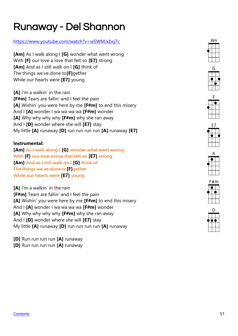## Runaway - Del Shannon

<https://www.youtube.com/watch?v=wSWMJxbxj7c>

**[Am]** As I walk along I **[G]** wonder what went wrong With **[F]** our love a love that felt so **[E7]** strong **[Am]** And as I still walk on I **[G]** think of The things we've done to**[F]**gether While our hearts were **[E7]** young

**[A]** I'm a walkin' in the rain **[F#m]** Tears are fallin' and I feel the pain **[A]** Wishin' you were here by me **[F#m]** to end this misery And I **[A]** wonder I wa wa wa wa **[F#m]** wonder **[A]** Why why why why **[F#m]** why she ran away And I **[D]** wonder where she will **[E7]** stay My little **[A]** runaway **[D]** run run run run **[A]** runaway **[E7]**

#### **Instrumental:**

**[Am]** As I walk along I **[G]** wonder what went wrong With **[F]** our love a love that felt so **[E7]** strong **[Am]** And as I still walk on I **[G]** think of The things we've done to**[F]**gether While our hearts were **[E7]** young

**[A]** I'm a walkin' in the rain **[F#m]** Tears are fallin' and I feel the pain **[A]** Wishin' you were here by me **[F#m]** to end this misery And I **[A]** wonder I wa wa wa wa **[F#m]** wonder **[A]** Why why why why **[F#m]** why she ran away And I **[D]** wonder where she will **[E7]** stay My little **[A]** runaway **[D]** run run run run **[A]** runaway

**[D]** Run run run run **[A]** runaway **[D]** Run run run run **[A]** runaway



Am





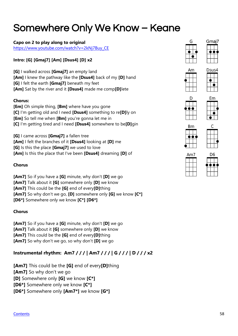## Somewhere Only We Know – Keane

**Capo on 2 to play along to original**  [https://www.youtube.com/watch?v=2kNj7Buy\\_CE](https://www.youtube.com/watch?v=2kNj7Buy_CE)

### **Intro: [G] [Gmaj7] [Am] [Dsus4] [D] x2**

**[G]** I walked across **[Gmaj7]** an empty land **[Am]** I knew the pathway like the **[Dsus4]** back of my **[D]** hand **[G]** I felt the earth **[Gmaj7]** beneath my feet **[Am]** Sat by the river and it **[Dsus4]** made me comp**[D]**lete

#### **Chorus:**

**[Em]** Oh simple thing, **[Bm]** where have you gone **[C]** I'm getting old and I need **[Dsus4]** something to re**[D]**ly on **[Em]** So tell me when **[Bm]** you're gonna let me in **[C]** I'm getting tired and I need **[Dsus4]** somewhere to be**[D]**gin

**[G]** I came across **[Gmaj7]** a fallen tree **[Am]** I felt the branches of it **[Dsus4]** looking at **[D]** me **[G]** Is this the place **[Gmaj7]** we used to love **[Am]** Is this the place that I've been **[Dsus4]** dreaming **[D]** of

### **Chorus**

**[Am7]** So if you have a **[G]** minute, why don't **[D]** we go **[Am7]** Talk about it **[G]** somewhere only **[D]** we know **[Am7]** This could be the **[G]** end of every**[D]**thing **[Am7]** So why don't we go, **[D]** somewhere only **[G]** we know **[C\*] [D6\*]** Somewhere only we know **[C\*] [D6\*]**

#### **Chorus**

- **[Am7]** So if you have a **[G]** minute, why don't **[D]** we go
- **[Am7]** Talk about it **[G]** somewhere only **[D]** we know
- **[Am7]** This could be the **[G]** end of every**[D]**thing

**[Am7]** So why don't we go, so why don't **[D]** we go

## **Instrumental rhythm: Am7 / / / | Am7 / / / | G / / / | D / / / x2**

**[Am7]** This could be the **[G]** end of every**[D]**thing **[Am7]** So why don't we go **[D]** Somewhere only **[G]** we know **[C\*] [D6\*]** Somewhere only we know **[C\*] [D6\*]** Somewhere only **[Am7\*]** we know **[G\*]**













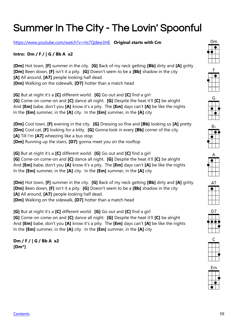## Summer In The City - The Lovin' Spoonful

<https://www.youtube.com/watch?v=rts7Qdew3HE>**Original starts with Cm**

#### **Intro: Dm / F / | G / Bb A x2**

**[Dm]** Hot town, **[F]** summer in the city. **[G]** Back of my neck getting **[Bb]** dirty and **[A]** gritty **[Dm]** Been down, **[F]** isn't it a pity. **[G]** Doesn't seem to be a **[Bb]** shadow in the city **[A]** All around, **[A7]** people looking half dead. **[Dm]** Walking on the sidewalk, **[D7]** hotter than a match head

**[G]** But at night it's a **[C]** different world. **[G]** Go out and **[C]** find a girl **[G]** Come-on come-on and **[C]** dance all night. **[G]** Despite the heat it'll **[C]** be alright And **[Em]** babe, don't you **[A]** know it's a pity. The **[Em]** days can't **[A]** be like the nights In the **[Em]** summer, in the **[A]** city. In the **[Em]** summer, in the **[A]** city

**[Dm]** Cool town, **[F]** evening in the city. **[G]** Dressing so fine and **[Bb]** looking so **[A]** pretty **[Dm]** Cool cat, **[F]** looking for a kitty. **[G]** Gonna look in every **[Bb]** corner of the city **[A]** Till I'm **[A7]** wheezing like a bus stop. **[Dm]** Running up the stairs, **[D7]** gonna meet you on the rooftop

**[G]** But at night it's a **[C]** different world. **[G]** Go out and **[C]** find a girl **[G]** Come-on come-on and **[C]** dance all night. **[G]** Despite the heat it'll **[C]** be alright And **[Em]** babe, don't you **[A]** know it's a pity. The **[Em]** days can't **[A]** be like the nights In the **[Em]** summer, in the **[A]** city. In the **[Em]** summer, in the **[A]** city

**[Dm]** Hot town, **[F]** summer in the city. **[G]** Back of my neck getting **[Bb]** dirty and **[A]** gritty **[Dm]** Been down, **[F]** isn't it a pity. **[G]** Doesn't seem to be a **[Bb]** shadow in the city **[A]** All around, **[A7]** people looking half dead. **[Dm]** Walking on the sidewalk, **[D7]** hotter than a match head

**[G]** But at night it's a **[C]** different world. **[G]** Go out and **[C]** find a girl **[G]** Come-on come-on and **[C]** dance all night. **[G]** Despite the heat it'll **[C]** be alright And **[Em]** babe, don't you **[A]** know it's a pity. The **[Em]** days can't **[A]** be like the nights In the **[Em]** summer, in the **[A]** city. In the **[Em]** summer, in the **[A]** city

**Dm / F / | G / Bb A x2 [Dm\*]**

















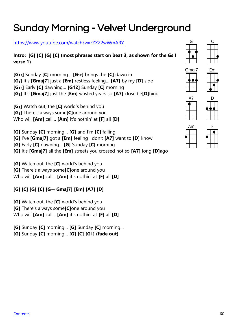## Sunday Morning - Velvet Underground

<https://www.youtube.com/watch?v=zZXZ2wWmARY>

**Intro: [G] [C] [G] [C] (most phrases start on beat 3, as shown for the Gs I verse 1)**

**[G12]** Sunday **[C]** morning… **[G12]** brings the **[C]** dawn in **[G1]** It's **[Gmaj7]** just a **[Em]** restless feeling… **[A7]** by my **[D]** side **[G12]** Early **[C]** dawning… **[G12]** Sunday **[C]** morning **[G1]** It's **[Gmaj7]** just the **[Em]** wasted years so **[A7]** close be**[D]**hind

**[G1]** Watch out, the **[C]** world's behind you **[G1]** There's always some**[C]**one around you Who will **[Am]** call… **[Am]** it's nothin' at **[F]** all **[D]**

**[G]** Sunday **[C]** morning… **[G]** and I'm **[C]** falling

**[G]** I've **[Gmaj7]** got a **[Em]** feeling I don't **[A7]** want to **[D]** know

**[G]** Early **[C]** dawning… **[G]** Sunday **[C]** morning

**[G]** It's **[Gmaj7]** all the **[Em]** streets you crossed not so **[A7]** long **[D]**ago

**[G]** Watch out, the **[C]** world's behind you **[G]** There's always some**[C]**one around you Who will **[Am]** call... **[Am]** it's nothin' at **[F]** all **[D]**

## **[G] [C] [G] [C] [G→ Gmaj7] [Em] [A7] [D]**

**[G]** Watch out, the **[C]** world's behind you **[G]** There's always some**[C]**one around you Who will **[Am]** call... **[Am]** it's nothin' at **[F]** all **[D]**

**[G]** Sunday **[C]** morning… **[G]** Sunday **[C]** morning… **[G]** Sunday **[C]** morning… **[G] [C] [G↓] (fade out)**





C



 $\Delta$ 7



| $\mathsf{F}$ |  | m |
|--------------|--|---|
|              |  |   |
|              |  |   |
|              |  |   |
|              |  |   |

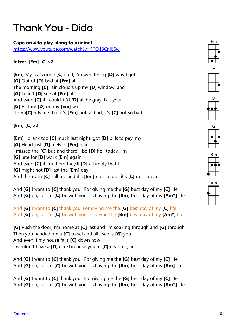## Thank You - Dido

**Capo on 4 to play along to original**  <https://www.youtube.com/watch?v=1TO48Cnl66w>

**Intro: [Em] [C] x2**

**[Em]** My tea's gone **[C]** cold, I'm wondering **[D]** why I got **[G]** Out of **[D]** bed at **[Em]** all The morning **[C]** rain cloud's up my **[D]** window, and **[G]** I can't **[D]** see at **[Em]** all And even **[C]** if I could, it'd **[D]** all be gray, but your **[G]** Picture **[D]** on my **[Em]** wall It rem**[C]**inds me that it's **[Em]** not so bad, it's **[C]** not so bad

## **[Em] [C] x2**

**[Em]** I drank too **[C]** much last night, got **[D]** bills to pay, my **[G]** Head just **[D]** feels in **[Em]** pain I missed the **[C]** bus and there'll be **[D]** hell today, I'm **[G]** late for **[D]** work **[Em]** again And even **[C]** if I'm there they'll **[D]** all imply that I **[G]** might not **[D]** last the **[Em]** day And then you **[C]** call me and it's **[Em]** not so bad, it's **[C]** not so bad

And **[G]** I want to **[C]** thank you. For giving me the **[G]** best day of my **[C]** life And **[G]** oh, just to **[C]** be with you. Is having the **[Bm]** best day of my **[Am\*]** life

And **[G]** I want to **[C]** thank you. For giving me the **[G]** best day of my **[C]** life And **[G]** oh, just to **[C]** be with you. Is having the **[Bm]** best day of my **[Am\*]** life

**[G]** Push the door, I'm home at **[C]** last and I'm soaking through and **[G]** through Then you handed me a **[C]** towel and all I see is **[G]** you And even if my house falls **[C]** down now I wouldn't have a **[D]** clue because you're **[C]** near me, and ...

And **[G]** I want to **[C]** thank you. For giving me the **[G]** best day of my **[C]** life And **[G]** oh, just to **[C]** be with you. Is having the **[Bm]** best day of my **[Am]** life

And **[G]** I want to **[C]** thank you. For giving me the **[G]** best day of my **[C]** life And **[G]** oh, just to **[C]** be with you. Is having the **[Bm]** best day of my **[Am\*]** life



Em







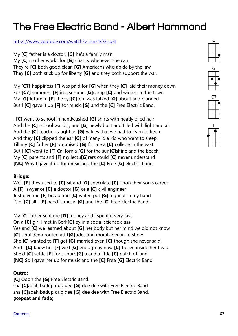## The Free Electric Band - Albert Hammond

<https://www.youtube.com/watch?v=EnF1CGsiqsI>

My **[C]** father is a doctor, **[G]** he's a family man My **[C]** mother works for **[G]** charity whenever she can They're **[C]** both good clean **[G]** Americans who abide by the law They **[C]** both stick up for liberty **[G]** and they both support the war.

My **[C7]** happiness **[F]** was paid for **[G]** when they **[C]** laid their money down For **[C7]** summers **[F]** in a summer**[G]**camp **[C]** and winters in the town My **[G]** future in **[F]** the sys**[C]**tem was talked **[G]** about and planned But I **[C]** gave it up **[F]** for music **[G]** and the **[C]** Free Electric Band.

I **[C]** went to school in handwashed **[G]** shirts with neatly oiled hair And the **[C]** school was big and **[G]** newly built and filled with light and air And the **[C]** teacher taught us **[G]** values that we had to learn to keep And they **[C]** clipped the ear **[G]** of many idle kid who went to sleep. Till my **[C]** father **[F]** organised **[G]** for me a **[C]** college in the east But I **[C]** went to **[F]** California **[G]** for the sun**[C]**shine and the beach My **[C]** parents and **[F]** my lectu**[G]**rers could **[C]** never understand **[NC]** Why I gave it up for music and the **[C]** Free **[G]** electric band.

### **Bridge:**

Well **[F]** they used to **[C]** sit and **[G]** speculate **[C]** upon their son's career A **[F]** lawyer or **[C]** a doctor **[G]** or a **[C]** civil engineer Just give me **[F]** bread and **[C]** water, put **[G]** a guitar in my hand 'Cos **[C]** all I **[F]** need is music **[G]** and the **[C]** Free Electric Band.

My **[C]** father sent me **[G]** money and I spent it very fast On a **[C]** girl I met in Berk**[G]**ley in a social science class Yes and **[C]** we learned about **[G]** her body but her mind we did not know **[C]** Until deep routed attit**[G]**udes and morals began to show She **[C]** wanted to **[F]** get **[G]** married even **[C]** though she never said And I **[C]** knew her **[F]** well **[G]** enough by now **[C]** to see inside her head She'd **[C]** settle **[F]** for suburb**[G]**ia and a little **[C]** patch of land **[NC]** So I gave her up for music and the **[C]** Free **[G]** Electric Band.

## **Outro:**

**[C]** Oooh the **[G]** Free Electric Band. shal**[C]**adah badup dup dee **[G]** dee dee with Free Electric Band. shal**[C]**adah badup dup dee **[G]** dee dee with Free Electric Band. **(Repeat and fade)**



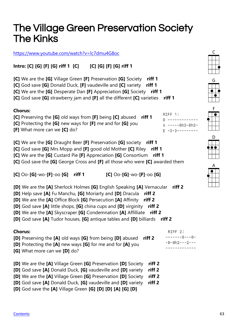## The Village Green Preservation Society The Kinks

<https://www.youtube.com/watch?v=lc7dmu4G8oc>

**Intro: [C] [G] [F] [G] riff 1 [C] [C] [G] [F] [G] riff 1** 

**[C]** We are the **[G]** Village Green **[F]** Preservation **[G]** Society **riff 1 [C]** God save **[G]** Donald Duck, **[F]** vaudeville and **[C]** variety **riff 1 [C]** We are the **[G]** Desperate Dan **[F]** Appreciation **[G]** Society **riff 1 [C]** God save **[G]** strawberry jam and **[F]** all the different **[C]** varieties **riff 1**

### **Chorus:**

**[C]** Preserving the **[G]** old ways from **[F]** being **[C]** abused **riff 1 [C]** Protecting the **[G]** new ways for **[F]** me and for **[G]** you **[F]** What more can we **[C]** do?

**[C]** We are the **[G]** Draught Beer **[F]** Preservation **[G]** society **riff 1 [C]** God save **[G]** Mrs Mopp and **[F]** good old Mother **[C]** Riley **riff 1**

**[C]** We are the **[G]** Custard Pie **[F]** Appreciation **[G]** Consortium **riff 1**

**[C]** God save the **[G]** George Cross and **[F]** all those who were **[C]** awarded them

**[C]** Oo-**[G]**-wo-**[F]**-oo **[G] riff 1 [C]** Oo-**[G]**-wo-**[F]**-oo **[G]**

**[D]** We are the **[A]** Sherlock Holmes **[G]** English Speaking **[A]** Vernacular **riff 2**

**[D]** Help save **[A]** Fu Manchu, **[G]** Moriarty and **[D]** Dracula **riff 2**

**[D]** We are the **[A]** Office Block **[G]** Persecution **[A]** Affinity **riff 2**

**[D]** God save **[A]** little shops, **[G]** china cups and **[D]** virginity **riff 2**

**[D]** We are the **[A]** Skyscraper **[G]** Condemnation **[A]** Affilliate **riff 2**

**[D]** God save **[A]** Tudor houses, **[G]** antique tables and **[D]** billiards **riff 2**

#### **Chorus:**

**[D]** Preserving the **[A]** old ways **[G]** from being **[D]** abused **riff 2**

- **[D]** Protecting the **[A]** new ways **[G]** for me and for **[A]** you
- **[G]** What more can we **[D]** do?
- **[D]** We are the **[A]** Village Green **[G]** Preservation **[D]** Society **riff 2**
- **[D]** God save **[A]** Donald Duck, **[G]** vaudeville and **[D]** variety **riff 2**
- **[D]** We are the **[A]** Village Green **[G]** Preservation **[D]** Society **riff 2**

**[D]** God save **[A]** Donald Duck, **[G]** vaudeville and **[D]** variety **riff 2**

**[D]** God save the **[A]** Village Green **[G] [D] [D] [A] [G] [D]**

RIFF 2: -------0---0- $-0-0h2---2---$ ------------

RIFF 1:

-------------A -----0h3-0h3- $E = 3 - 3 - - - - - - - - -$ 



r



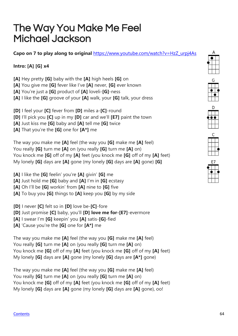## The Way You Make Me Feel Michael Jackson

**Capo on 7 to play along to original** [https://www.youtube.com/watch?v=HzZ\\_urpj4As](https://www.youtube.com/watch?v=HzZ_urpj4As)

### **Intro: [A] [G] x4**

**[A]** Hey pretty **[G]** baby with the **[A]** high heels **[G]** on **[A]** You give me **[G]** fever like I've **[A]** never, **[G]** ever known **[A]** You're just a **[G]** product of **[A]** loveli-**[G]**-ness **[A]** I like the **[G]** groove of your **[A]** walk, your **[G]** talk, your dress

**[D]** I feel your **[C]** fever from **[D]** miles a-**[C]**-round

**[D]** I'll pick you **[C]** up in my **[D]** car and we'll **[E7]** paint the town

**[A]** Just kiss me **[G]** baby and **[A]** tell me **[G]** twice

**[A]** That you're the **[G]** one for **[A\*]** me

The way you make me **[A]** feel (the way you **[G]** make me **[A]** feel) You really **[G]** turn me **[A]** on (you really **[G]** turn me **[A]** on) You knock me **[G]** off of my **[A]** feet (you knock me **[G]** off of my **[A]** feet) My lonely **[G]** days are **[A]** gone (my lonely **[G]** days are **[A]** gone) **[G]**

**[A]** I like the **[G]** feelin' you're **[A]** givin' **[G]** me

**[A]** Just hold me **[G]** baby and **[A]** I'm in **[G]** ecstasy

**[A]** Oh I'll be **[G]** workin' from **[A]** nine to **[G]** five

**[A]** To buy you **[G]** things to **[A]** keep you **[G]** by my side

**[D]** I never **[C]** felt so in **[D]** love be-**[C]**-fore

**[D]** Just promise **[C]** baby, you'll **[D] love me for-[E7]**-evermore

**[A]** I swear I'm **[G]** keepin' you **[A]** satis-**[G]**-fied

**[A]** 'Cause you're the **[G]** one for **[A\*]** me

The way you make me **[A]** feel (the way you **[G]** make me **[A]** feel) You really **[G]** turn me **[A]** on (you really **[G]** turn me **[A]** on) You knock me **[G]** off of my **[A]** feet (you knock me **[G]** off of my **[A]** feet) My lonely **[G]** days are **[A]** gone (my lonely **[G]** days are **[A\*]** gone)

The way you make me **[A]** feel (the way you **[G]** make me **[A]** feel) You really **[G]** turn me **[A]** on (you really **[G]** turn me **[A]** on) You knock me **[G]** off of my **[A]** feet (you knock me **[G]** off of my **[A]** feet) My lonely **[G]** days are **[A]** gone (my lonely **[G]** days are **[A]** gone), oo!



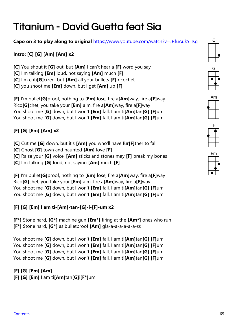## Titanium - David Guetta feat Sia

**Capo on 3 to play along to original** <https://www.youtube.com/watch?v=JRfuAukYTKg>

## **Intro: [C] [G] [Am] [Am] x2**

**[C]** You shout it **[G]** out, but **[Am]** I can't hear a **[F]** word you say **[C]** I'm talking **[Em]** loud, not saying **[Am]** much **[F] [C]** I'm criti**[G]**cized, but **[Am]** all your bullets **[F]** ricochet **[C]** you shoot me **[Em]** down, but I get **[Am]** up **[F]**

**[F]** I'm bullet**[G]**proof, nothing to **[Em]** lose, fire a**[Am]**way, fire a**[F]**way Rico**[G]**chet, you take your **[Em]** aim, fire a**[Am]**way, fire a**[F]**way You shoot me **[G]** down, but I won't **[Em]** fall, I am ti**[Am]**tan**[G]**i**[F]**um You shoot me **[G]** down, but I won't **[Em]** fall, I am ti**[Am]**tan**[G]**i**[F]**um

## **[F] [G] [Em] [Am] x2**

**[C]** Cut me **[G]** down, but it's **[Am]** you who'll have fur**[F]**ther to fall

**[C]** Ghost **[G]** town and haunted **[Am]** love **[F]**

**[C]** Raise your **[G]** voice, **[Am]** sticks and stones may **[F]** break my bones

**[C]** I'm talking **[G]** loud, not saying **[Am]** much **[F]**

**[F]** I'm bullet**[G]**proof, nothing to **[Em]** lose, fire a**[Am]**way, fire a**[F]**way Rico**[G]**chet, you take your **[Em]** aim, fire a**[Am]**way, fire a**[F]**way You shoot me **[G]** down, but I won't **[Em]** fall, I am ti**[Am]**tan**[G]**i**[F]**um You shoot me **[G]** down, but I won't **[Em]** fall, I am ti**[Am]**tan**[G]**i**[F]**um

## **[F] [G] [Em] I am ti-[Am]-tan-[G]-i-[F]-um x2**

**[F\*]** Stone hard, **[G\*]** machine gun **[Em\*]** firing at the **[Am\*]** ones who run **[F\*]** Stone hard, **[G\*]** as bulletproof **[Am]** gla-a-a-a-a-a-a-ss

You shoot me **[G]** down, but I won't **[Em]** fall, I am ti**[Am]**tan**[G]**i**[F]**um You shoot me **[G]** down, but I won't **[Em]** fall, I am ti**[Am]**tan**[G]**i**[F]**um You shoot me **[G]** down, but I won't **[Em]** fall, I am ti**[Am]**tan**[G]**i**[F]**um You shoot me **[G]** down, but I won't **[Em]** fall, I am ti**[Am]**tan**[G]**i**[F]**um

## **[F] [G] [Em] [Am]**

**[F] [G] [Em]** I am ti**[Am]**tan**[G]**i**[F\*]**um









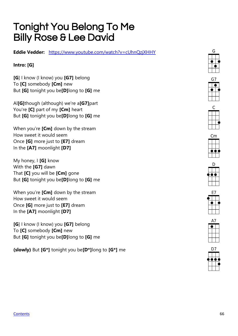## Tonight You Belong To Me Billy Rose & Lee David

**Eddie Vedder:** <https://www.youtube.com/watch?v=cUhnQzjXHHY>

### **Intro: [G]**

**[G**] I know (I know) you **[G7]** belong To **[C]** somebody **[Cm]** new But **[G]** tonight you be**[D]**long to **[G]** me

Al**[G]**though (although) we're a**[G7]**part You're **[C]** part of my **[Cm]** heart But **[G]** tonight you be**[D]**long to **[G]** me

When you're **[Cm]** down by the stream How sweet it would seem Once **[G]** more just to **[E7]** dream In the **[A7]** moonlight **[D7]**

My honey, I **[G]** know With the **[G7]** dawn That **[C]** you will be **[Cm]** gone But **[G]** tonight you be**[D]**long to **[G]** me

When you're **[Cm]** down by the stream How sweet it would seem Once **[G]** more just to **[E7]** dream In the **[A7]** moonlight **[D7]**

**[G**] I know (I know) you **[G7]** belong To **[C]** somebody **[Cm]** new But **[G]** tonight you be**[D]**long to **[G]** me

**(slowly)** But **[G\*]** tonight you be**[D\*]**long to **[G\*]** me















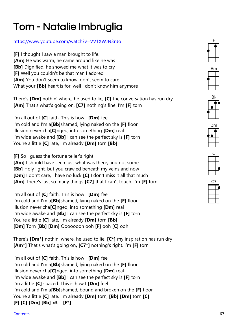# Torn - Natalie Imbruglia

<https://www.youtube.com/watch?v=VV1XWJN3nJo>

**[F]** I thought I saw a man brought to life. **[Am]** He was warm, he came around like he was **[Bb]** Dignified, he showed me what it was to cry **[F]** Well you couldn't be that man I adored **[Am]** You don't seem to know, don't seem to care What your **[Bb]** heart is for, well I don't know him anymore

There's **[Dm]** nothin' where, he used to lie, **[C]** the conversation has run dry **[Am]** That's what's going on, **[C7]** nothing's fine. I'm **[F]** torn

I'm all out of **[C]** faith. This is how I **[Dm]** feel I'm cold and I'm a**[Bb]**shamed, lying naked on the **[F]** floor Illusion never cha**[C]**nged, into something **[Dm]** real I'm wide awake and **[Bb]** I can see the perfect sky is **[F]** torn You're a little **[C]** late, I'm already **[Dm]** torn **[Bb]**

**[F]** So I guess the fortune teller's right **[Am]** I should have seen just what was there, and not some **[Bb]** Holy light, but you crawled beneath my veins and now **[Dm]** I don't care, I have no luck **[C]** I don't miss it all that much **[Am]** There's just so many things **[C7]** that I can't touch. I'm **[F]** torn

I'm all out of **[C]** faith. This is how I **[Dm]** feel I'm cold and I'm a**[Bb]**shamed, lying naked on the **[F]** floor Illusion never cha**[C]**nged, into something **[Dm]** real I'm wide awake and **[Bb]** I can see the perfect sky is **[F]** torn You're a little **[C]** late, I'm already **[Dm]** torn **[Bb] [Dm]** Torn **[Bb] [Dm]** Oooooooh ooh **[F]** ooh **[C]** ooh

There's **[Dm\*]** nothin' where, he used to lie, **[C\*]** my inspiration has run dry **[Am\*]** That's what's going on**, [C7\*]** nothing's right. I'm **[F]** torn

I'm all out of **[C]** faith. This is how I **[Dm]** feel I'm cold and I'm a**[Bb]**shamed, lying naked on the **[F]** floor Illusion never cha**[C]**nged, into something **[Dm]** real I'm wide awake and **[Bb]** I can see the perfect sky is **[F]** torn I'm a little **[C]** spaced. This is how I **[Dm]** feel I'm cold and I'm a**[Bb]**shamed, bound and broken on the **[F]** floor You're a little **[C]** late. I'm already **[Dm]** torn, **[Bb] [Dm]** torn **[C] [F] [C] [Dm] [Bb] x3 [F\*]**

<u>[Contents](#page-1-0)</u> 67









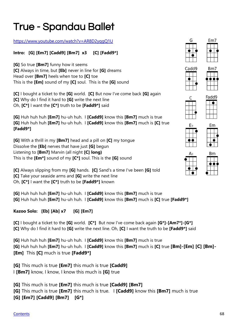## True - Spandau Ballet

<https://www.youtube.com/watch?v=AR8D2yqgQ1U>

### **Intro: [G] [Em7] [Cadd9] [Bm7] x3 [C] [Fadd9\*]**

**[G]** So true **[Bm7]** funny how it seems **[C]** Always in time, but **[Eb]** never in line for **[G]** dreams Head over **[Bm7]** heels when toe to **[C]** toe This is the **[Em]** sound of my **[C]** soul. This is the **[G]** sound

**[C]** I bought a ticket to the **[G]** world. **[C]** But now I've come back **[G]** again **[C]** Why do I find it hard to **[G]** write the next line Oh, **[C\*]** I want the **[C\*]** truth to be **[Fadd9\*]** said

**[G]** Huh huh huh **[Em7]** hu-uh huh. I **[Cadd9]** know this **[Bm7]** much is true **[G]** Huh huh huh **[Em7]** hu-uh huh. I **[Cadd9]** know this **[Bm7]** much is **[C]** true **[Fadd9\*]**

**[G]** With a thrill in my **[Bm7]** head and a pill on **[C]** my tongue Dissolve the **[Eb]** nerves that have just **[G]** begun Listening to **[Bm7]** Marvin (all night **[C] long)** This is the **[Em\*]** sound of my **[C\*]** soul. This is the **[G]** sound

**[C]** Always slipping from my **[G]** hands. **[C]** Sand's a time I've been **[G]** told **[C]** Take your seaside arms and **[G]** write the next line Oh, **[C\*]** I want the **[C\*]** truth to be **[Fadd9\*]** known

**[G]** Huh huh huh **[Em7]** hu-uh huh. I **[Cadd9]** know this **[Bm7]** much is true **[G]** Huh huh huh **[Em7]** hu-uh huh. I **[Cadd9]** know this **[Bm7]** much is **[C]** true **[Fadd9\*]**

#### **Kazoo Solo: [Eb] [Ab] x7 [G] [Em7]**

**[C]** I bought a ticket to the **[G]** world. **[C\*]** But now I've come back again **[G\*]-[Am7\*]-[G\*] [C]** Why do I find it hard to **[G]** write the next line. Oh, **[C]** I want the truth to be **[Fadd9\*]** said

**[G]** Huh huh huh **[Em7]** hu-uh huh. I **[Cadd9]** know this **[Bm7]** much is true **[G]** Huh huh huh **[Em7]** hu-uh huh. I **[Cadd9]** know this **[Bm7]** much is **[C]** true **[Bm]-[Em] [C] [Bm]- [Em]** This **[C]** much is true **[Fadd9\*]**

**[G]** This much is true **[Em7]** this much is true **[Cadd9]** I **[Bm7]** know, I know, I know this much is **[G]** true

**[G]** This much is true **[Em7]** this much is true **[Cadd9] [Bm7] [G]** This much is true **[Em7]** this much is true. I **[Cadd9]** know this **[Bm7]** much is true **[G] [Em7] [Cadd9] [Bm7] [G\*]**



Cadd9









Em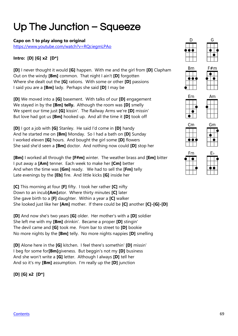## Up The Junction – Squeeze

**Capo on 1 to play along to original**  <https://www.youtube.com/watch?v=RQciegmLPAo>

## **Intro: [D] [G] x2 [D\*]**

**[D]** I never thought it would **[G]** happen. With me and the girl from **[D]** Clapham Out on the windy **[Bm]** common. That night I ain't **[D]** forgotten Where she dealt out the **[G]** rations. With some or other **[D]** passions I said you are a **[Bm]** lady. Perhaps she said **[D]** I may be

**[D]** We moved into a **[G]** basement. With talks of our **[D]** engagement We stayed in by the **[Bm] telly.** Although the room was **[D]** smelly We spent our time just **[G]** kissin'. The Railway Arms we're **[D]** missin' But love had got us **[Bm]** hooked up. And all the time it **[D]** took off

**[D]** I got a job with **[G]** Stanley. He said I'd come in **[D]** handy And he started me on **[Bm]** Monday. So I had a bath on **[D]** Sunday I worked eleven **[G]** hours. And bought the girl some **[D]** flowers She said she'd seen a **[Bm]** doctor. And nothing now could **[D]** stop her

**[Bm]** I worked all through the **[F#m]** winter. The weather brass and **[Em]** bitter I put away a **[Am]** tenner. Each week to make her **[Cm]** better And when the time was **[Gm]** ready. We had to sell the **[Fm]** telly Late evenings by the **[Eb]** fire. And little kicks **[G]** inside her

**[C]** This morning at four **[F]** fifty. I took her rather **[C]** nifty Down to an incub**[Am]**ator. Where thirty minutes **[C]** later She gave birth to a **[F]** daughter. Within a year a **[C]** walker She looked just like her **[Am]** mother. If there could be **[C]** another **[C]-[G]-[D]**

**[D]** And now she's two years **[G]** older. Her mother's with a **[D]** soldier She left me with my **[Bm]** drinkin'. Became a proper **[D]** stingin' The devil came and **[G]** took me. From bar to street to **[D]** bookie No more nights by the **[Bm]** telly. No more nights nappies **[D]** smelling

**[D]** Alone here in the **[G]** kitchen. I feel there's somethin' **[D]** missin' I beg for some for**[Bm]**giveness. But beggin's not my **[D]** business And she won't write a **[G]** letter. Although I always **[D]** tell her And so it's my **[Bm]** assumption. I'm really up the **[D]** junction

**[D] [G] x2 [D\*]**







Em







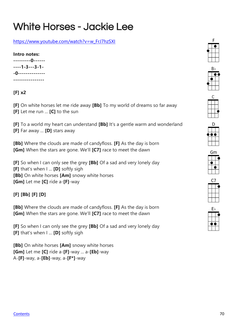## White Horses - Jackie Lee

[https://www.youtube.com/watch?v=w\\_FrJ7hzSXI](https://www.youtube.com/watch?v=w_FrJ7hzSXI)

```
Intro notes:
---------0------
----1-3---3-1-
-0--------------
----------------
```
**[F] x2**

**[F]** On white horses let me ride away **[Bb]** To my world of dreams so far away **[F]** Let me run ... **[C]** to the sun

**[F]** To a world my heart can understand **[Bb]** It's a gentle warm and wonderland **[F]** Far away ... **[D]** stars away

**[Bb]** Where the clouds are made of candyfloss. **[F]** As the day is born **[Gm]** When the stars are gone. We'll **[C7]** race to meet the dawn

**[F]** So when I can only see the grey **[Bb]** Of a sad and very lonely day **[F]** that's when I ... **[D]** softly sigh **[Bb]** On white horses **[Am]** snowy white horses **[Gm]** Let me **[C]** ride a-**[F]**-way

## **[F] [Bb] [F] [D]**

**[Bb]** Where the clouds are made of candyfloss. **[F]** As the day is born **[Gm]** When the stars are gone. We'll **[C7]** race to meet the dawn

**[F]** So when I can only see the grey **[Bb]** Of a sad and very lonely day **[F]** that's when I ... **[D]** softly sigh

**[Bb]** On white horses **[Am]** snowy white horses **[Gm]** Let me **[C]** ride a-**[F]**-way ... a-**[Eb]**-way A-**[F]**-way, a-**[Eb]**-way, a-**[F\*]**-way











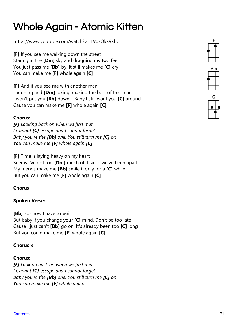## Whole Again - Atomic Kitten

## <https://www.youtube.com/watch?v=1V0xQkk9kbc>

**[F]** If you see me walking down the street Staring at the **[Dm]** sky and dragging my two feet You just pass me **[Bb]** by. It still makes me **[C]** cry You can make me **[F]** whole again **[C]**

**[F]** And if you see me with another man Laughing and **[Dm]** joking, making the best of this I can I won't put you **[Bb]** down. Baby I still want you **[C]** around Cause you can make me **[F]** whole again **[C]**

### **Chorus:**

*[F] Looking back on when we first met I Cannot [C] escape and I cannot forget Baby you're the [Bb] one. You still turn me [C] on You can make me [F] whole again [C]*

**[F]** Time is laying heavy on my heart Seems I've got too **[Dm]** much of it since we've been apart My friends make me **[Bb]** smile if only for a **[C]** while But you can make me **[F]** whole again **[C]**

### **Chorus**

#### **Spoken Verse:**

[Bb] For now I have to wait But baby if you change your **[C]** mind, Don't be too late Cause I just can't **[Bb]** go on. It's already been too **[C]** long But you could make me **[F]** whole again **[C]**

#### **Chorus x**

#### **Chorus:**

*[F] Looking back on when we first met I Cannot [C] escape and I cannot forget Baby you're the [Bb] one. You still turn me [C] on You can make me [F] whole again*

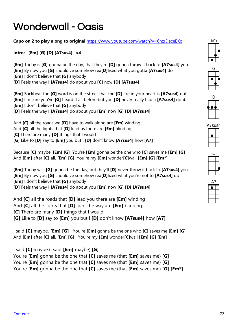## Wonderwall - Oasis

**Capo on 2 to play along to original <https://www.youtube.com/watch?v=6hzrDeceEKc>** 

**Intro: [Em] [G] [D] [A7sus4] x4**

**[Em]** Today is **[G]** gonna be the day, that they're **[D]** gonna throw it back to **[A7sus4]** you **[Em]** By now you **[G]** should've somehow rea**[D]**lised what you gotta **[A7sus4]** do **[Em]** I don't believe that **[G]** anybody **[D]** Feels the way I **[A7sus4]** do about you **[C]** now **[D] [A7sus4]**

**[Em]** Backbeat the **[G]** word is on the street that the **[D]** fire in your heart is **[A7sus4]** out **[Em]** I'm sure you've **[G]** heard it all before but you **[D]** never really had a **[A7sus4]** doubt **[Em]** I don't believe that **[G]** anybody **[D]** Feels the way I **[A7sus4]** do about you **[Em]** now **[G] [D] [A7sus4]**

And **[C]** all the roads we **[D]** have to walk along are **[Em]** winding And **[C]** all the lights that **[D]** lead us there are **[Em]** blinding **[C]** There are many **[D]** things that I would **[G]** Like to **[D]** say to **[Em]** you but I **[D]** don't know **[A7sus4]** how **[A7]**

Because **[C]** maybe. **[Em] [G]** You're **[Em]** gonna be the one who **[C]** saves me **[Em] [G]** And **[Em]** after **[C]** all. **[Em] [G]** You're my **[Em]** wonder**[C]**wall **[Em] [G] [Em\*]**

**[Em]** Today was **[G]** gonna be the day, but they'll **[D]** never throw it back to **[A7sus4]** you **[Em]** By now you **[G]** should've somehow rea**[D]**lized what you're not to **[A7sus4]** do **[Em]** I don't believe that **[G]** anybody **[D]** Feels the way I **[A7sus4]** do about you **[Em]** now **[G] [D] [A7sus4]**

And **[C]** all the roads that **[D]** lead you there are **[Em]** winding And **[C]** all the lights that **[D]** light the way are **[Em]** blinding **[C]** There are many **[D]** things that I would **[G]** Like to **[D]** say to **[Em]** you but I **[D]** don't know **[A7sus4]** how **[A7]**

I said **[C]** maybe. **[Em] [G]** You're **[Em]** gonna be the one who **[C]** saves me **[Em] [G]** And **[Em]** after **[C]** all. **[Em] [G]** You're my **[Em]** wonder**[C]**wall **[Em] [G] [Em]**

I said **[C]** maybe (I said **[Em]** maybe) **[G]** You're **[Em]** gonna be the one that **[C]** saves me (that **[Em]** saves me) **[G]** You're **[Em]** gonna be the one that **[C]** saves me (that **[Em]** saves me) **[G]** You're **[Em]** gonna be the one that **[C]** saves me (that **[Em]** saves me) **[G] [Em\*]**









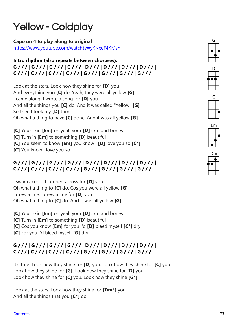# Yellow - Coldplay

**Capo on 4 to play along to original**  <https://www.youtube.com/watch?v=yKNxeF4KMsY>

### **Intro rhythm (also repeats between choruses): G / / / | G / / / | G / / / | G / / / | D / / / | D / / / | D / / / | D / / / | C / / / | C / / / | C / / / | C / / / | G / / / | G / / / | G / / / | G / / /**

Look at the stars. Look how they shine for **[D]** you And everything you **[C]** do. Yeah, they were all yellow **[G]** I came along. I wrote a song for **[D]** you And all the things you **[C]** do. And it was called "Yellow" **[G]** So then I took my **[D]** turn Oh what a thing to have **[C]** done. And it was all yellow **[G]**

**[C]** Your skin **[Em]** oh yeah your **[D]** skin and bones **[C]** Turn in **[Em]** to something **[D]** beautiful **[C]** You seem to know **[Em]** you know I **[D]** love you so **[C\*]**

**[C]** You know I love you so

## **G / / / | G / / / | G / / / | G / / / | D / / / | D / / / | D / / / | D / / / | C / / / | C / / / | C / / / | C / / / | G / / / | G / / / | G / / / | G / / /**

I swam across. I jumped across for **[D]** you Oh what a thing to **[C]** do. Cos you were all yellow **[G]** I drew a line. I drew a line for **[D]** you Oh what a thing to **[C]** do. And it was all yellow **[G]**

**[C]** Your skin **[Em]** oh yeah your **[D]** skin and bones **[C]** Turn in **[Em]** to something **[D]** beautiful **[C]** Cos you know **[Em]** for you I'd **[D]** bleed myself **[C\*]** dry **[C]** For you I'd bleed myself **[G]** dry

### **G / / / | G / / / | G / / / | G / / / | D / / / | D / / / | D / / / | D / / / | C / / / | C / / / | C / / / | C / / / | G / / / | G / / / | G / / / | G / / /**

It's true. Look how they shine for **[D]** you. Look how they shine for **[C]** you Look how they shine for **[G].** Look how they shine for **[D]** you Look how they shine for **[C]** you. Look how they shine **[G\*]**

Look at the stars. Look how they shine for **[Dm\*]** you And all the things that you **[C\*]** do



G



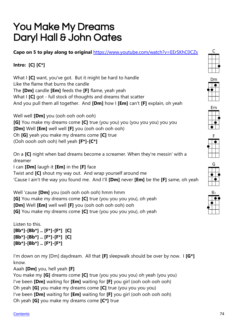## You Make My Dreams Daryl Hall & John Oates

**Capo on 5 to play along to original** <https://www.youtube.com/watch?v=EErSKhC0CZs>

**Intro: [C] [C\*]**

What I **[C]** want, you've got. But it might be hard to handle Like the flame that burns the candle The **[Dm]** candle **[Em]** feeds the **[F]** flame, yeah yeah What I **[C]** got - full stock of thoughts and dreams that scatter And you pull them all together. And **[Dm]** how I **[Em]** can't **[F]** explain, oh yeah

Well well **[Dm]** you (ooh ooh ooh ooh) **[G]** You make my dreams come **[C]** true (you you) you (you you you) you you **[Dm]** Well **[Em]** well well **[F]** you (ooh ooh ooh ooh) Oh **[G]** yeah you make my dreams come **[C]** true (Ooh oooh ooh ooh) hell yeah **[F\*]-[C\*]**

On a **[C]** night when bad dreams become a screamer. When they're messin' with a dreamer

I can **[Dm]** laugh it **[Em]** in the **[F]** face

Twist and **[C]** shout my way out. And wrap yourself around me 'Cause I ain't the way you found me. And I'll **[Dm]** never **[Em]** be the **[F]** same, oh yeah

Well 'cause **[Dm]** you (ooh ooh ooh ooh) hmm hmm **[G]** You make my dreams come **[C]** true (you you you you), oh yeah **[Dm]** Well **[Em]** well well **[F]** you (ooh ooh ooh ooh) ooh **[G]** You make my dreams come **[C]** true (you you you you), oh yeah

Listen to this. **[Bb\*]-[Bb\*] .. [F\*]-[F\*] [C] [Bb\*]-[Bb\*] .. [F\*]-[F\*] [C] [Bb\*]-[Bb\*] .. [F\*]-[F\*]**

I'm down on my [Dm] daydream. All that **[F]** sleepwalk should be over by now. I **[G\*]**  know.

Aaah **[Dm]** you, hell yeah **[F]** 

You make my **[G]** dreams come **[C]** true (you you you you) oh yeah (you you) I've been **[Dm]** waiting for **[Em]** waiting for **[F]** you girl (ooh ooh ooh ooh) Oh yeah **[G]** you make my dreams come **[C]** true (you you you you) I've been **[Dm]** waiting for **[Em]** waiting for **[F]** you girl (ooh ooh ooh ooh) Oh yeah **[G]** you make my dreams come **[C\*]** true









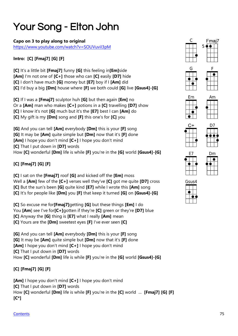# Your Song - Elton John

**Capo on 3 to play along to original**  <https://www.youtube.com/watch?v=SOUVuviI3pM>

#### **Intro: [C] [Fmaj7] [G] [F]**

**[C]** It's a little bit **[Fmaj7]** funny **[G]** this feeling in**[Em]**side **[Am]** I'm not one of **[C+]** those who can **[C]** easily **[D7]** hide **[C]** I don't have much **[G]** money but **[E7]** boy if I **[Am]** did **[C]** I'd buy a big **[Dm]** house where **[F]** we both could **[G]** live **[Gsus4]-[G]**

**[C]** If I was a **[Fmaj7]** sculptor huh **[G]** but then again **[Em]** no Or a **[Am]** man who makes **[C+]** potions in a **[C]** travelling **[D7]** show **[C]** I know it's not **[G]** much but it's the **[E7]** best I can **[Am]** do **[C]** My gift is my **[Dm]** song and **[F]** this one's for **[C]** you

**[G]** And you can tell **[Am]** everybody **[Dm]** this is your **[F]** song **[G]** It may be **[Am]** quite simple but **[Dm]** now that it's **[F]** done **[Am]** I hope you don't mind **[C+]** I hope you don't mind **[C]** That I put down in **[D7]** words How **[C]** wonderful **[Dm]** life is while **[F]** you're in the **[G]** world **[Gsus4]-[G]**

#### **[C] [Fmaj7] [G] [F]**

**[C]** I sat on the **[Fmaj7]** roof **[G]** and kicked off the **[Em]** moss Well a **[Am]** few of the **[C+]** verses well they've **[C]** got me quite **[D7]** cross **[C]** But the sun's been **[G]** quite kind **[E7]** while I wrote this **[Am]** song **[C]** It's for people like **[Dm]** you **[F]** that keep it turned **[G]** on **[Gsus4]-[G]**

**[C]** So excuse me for**[Fmaj7]**getting **[G]** but these things **[Em]** I do You **[Am**] see I've for**[C+]**gotten if they're **[C]** green or they're **[D7]** blue **[C]** Anyway the **[G]** thing is **[E7]** what I really **[Am]** mean **[C]** Yours are the **[Dm]** sweetest eyes **[F]** I've ever seen **[C]**

**[G]** And you can tell **[Am]** everybody **[Dm]** this is your **[F]** song **[G]** It may be **[Am]** quite simple but **[Dm]** now that it's **[F]** done **[Am]** I hope you don't mind **[C+]** I hope you don't mind **[C]** That I put down in **[D7]** words How **[C]** wonderful **[Dm]** life is while **[F]** you're in the **[G]** world **[Gsus4]-[G]**

#### **[C] [Fmaj7] [G] [F]**

**[Am]** I hope you don't mind **[C+]** I hope you don't mind **[C]** That I put down in **[D7]** words How **[C]** wonderful **[Dm]** life is while **[F]** you're in the **[C]** world … **[Fmaj7] [G] [F] [C\*]**













E7